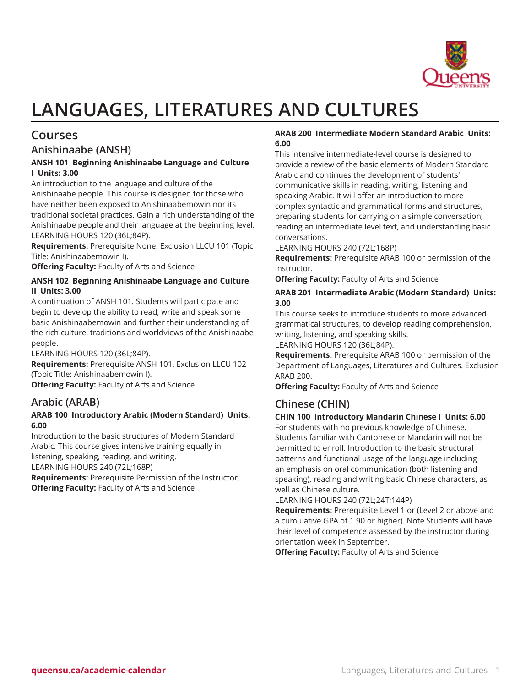

# **LANGUAGES, LITERATURES AND CULTURES**

# **Courses**

# **Anishinaabe (ANSH)**

# **ANSH 101 Beginning Anishinaabe Language and Culture I Units: 3.00**

An introduction to the language and culture of the Anishinaabe people. This course is designed for those who have neither been exposed to Anishinaabemowin nor its traditional societal practices. Gain a rich understanding of the Anishinaabe people and their language at the beginning level. LEARNING HOURS 120 (36L;84P).

**Requirements:** Prerequisite None. Exclusion LLCU 101 (Topic Title: Anishinaabemowin I).

**Offering Faculty:** Faculty of Arts and Science

# **ANSH 102 Beginning Anishinaabe Language and Culture II Units: 3.00**

A continuation of ANSH 101. Students will participate and begin to develop the ability to read, write and speak some basic Anishinaabemowin and further their understanding of the rich culture, traditions and worldviews of the Anishinaabe people.

LEARNING HOURS 120 (36L;84P).

**Requirements:** Prerequisite ANSH 101. Exclusion LLCU 102 (Topic Title: Anishinaabemowin I).

**Offering Faculty:** Faculty of Arts and Science

# **Arabic (ARAB)**

# **ARAB 100 Introductory Arabic (Modern Standard) Units: 6.00**

Introduction to the basic structures of Modern Standard Arabic. This course gives intensive training equally in listening, speaking, reading, and writing. LEARNING HOURS 240 (72L;168P)

**Requirements:** Prerequisite Permission of the Instructor. **Offering Faculty:** Faculty of Arts and Science

# **ARAB 200 Intermediate Modern Standard Arabic Units: 6.00**

This intensive intermediate-level course is designed to provide a review of the basic elements of Modern Standard Arabic and continues the development of students' communicative skills in reading, writing, listening and speaking Arabic. It will offer an introduction to more complex syntactic and grammatical forms and structures, preparing students for carrying on a simple conversation, reading an intermediate level text, and understanding basic conversations.

LEARNING HOURS 240 (72L;168P)

**Requirements:** Prerequisite ARAB 100 or permission of the Instructor.

**Offering Faculty:** Faculty of Arts and Science

# **ARAB 201 Intermediate Arabic (Modern Standard) Units: 3.00**

This course seeks to introduce students to more advanced grammatical structures, to develop reading comprehension, writing, listening, and speaking skills.

LEARNING HOURS 120 (36L;84P).

**Requirements:** Prerequisite ARAB 100 or permission of the Department of Languages, Literatures and Cultures. Exclusion ARAB 200.

**Offering Faculty:** Faculty of Arts and Science

# **Chinese (CHIN)**

# **CHIN 100 Introductory Mandarin Chinese I Units: 6.00**

For students with no previous knowledge of Chinese. Students familiar with Cantonese or Mandarin will not be permitted to enroll. Introduction to the basic structural patterns and functional usage of the language including an emphasis on oral communication (both listening and speaking), reading and writing basic Chinese characters, as well as Chinese culture.

LEARNING HOURS 240 (72L;24T;144P)

**Requirements:** Prerequisite Level 1 or (Level 2 or above and a cumulative GPA of 1.90 or higher). Note Students will have their level of competence assessed by the instructor during orientation week in September.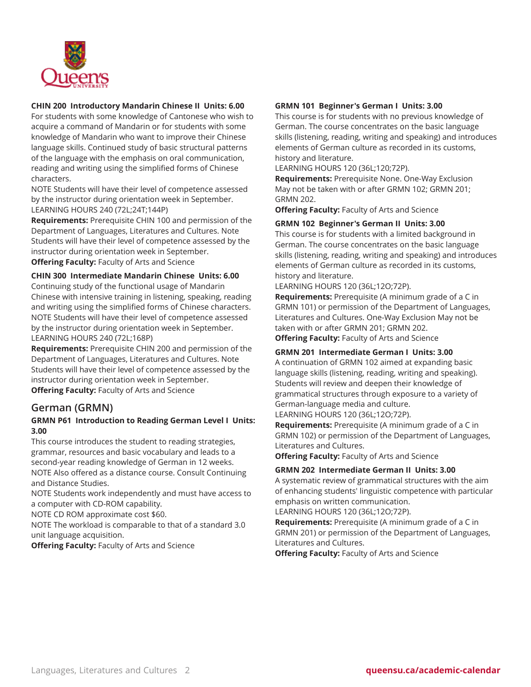

# **CHIN 200 Introductory Mandarin Chinese II Units: 6.00**

For students with some knowledge of Cantonese who wish to acquire a command of Mandarin or for students with some knowledge of Mandarin who want to improve their Chinese language skills. Continued study of basic structural patterns of the language with the emphasis on oral communication, reading and writing using the simplified forms of Chinese characters.

NOTE Students will have their level of competence assessed by the instructor during orientation week in September. LEARNING HOURS 240 (72L;24T;144P)

**Requirements:** Prerequisite CHIN 100 and permission of the Department of Languages, Literatures and Cultures. Note Students will have their level of competence assessed by the instructor during orientation week in September. **Offering Faculty:** Faculty of Arts and Science

**CHIN 300 Intermediate Mandarin Chinese Units: 6.00** Continuing study of the functional usage of Mandarin Chinese with intensive training in listening, speaking, reading and writing using the simplified forms of Chinese characters. NOTE Students will have their level of competence assessed by the instructor during orientation week in September. LEARNING HOURS 240 (72L;168P)

**Requirements:** Prerequisite CHIN 200 and permission of the Department of Languages, Literatures and Cultures. Note Students will have their level of competence assessed by the instructor during orientation week in September. **Offering Faculty:** Faculty of Arts and Science

# **German (GRMN)**

# **GRMN P61 Introduction to Reading German Level I Units: 3.00**

This course introduces the student to reading strategies, grammar, resources and basic vocabulary and leads to a second-year reading knowledge of German in 12 weeks. NOTE Also offered as a distance course. Consult Continuing and Distance Studies.

NOTE Students work independently and must have access to a computer with CD-ROM capability.

NOTE CD ROM approximate cost \$60.

NOTE The workload is comparable to that of a standard 3.0 unit language acquisition.

**Offering Faculty:** Faculty of Arts and Science

# **GRMN 101 Beginner's German I Units: 3.00**

This course is for students with no previous knowledge of German. The course concentrates on the basic language skills (listening, reading, writing and speaking) and introduces elements of German culture as recorded in its customs, history and literature.

LEARNING HOURS 120 (36L;120;72P).

**Requirements:** Prerequisite None. One-Way Exclusion May not be taken with or after GRMN 102; GRMN 201; GRMN 202.

**Offering Faculty:** Faculty of Arts and Science

# **GRMN 102 Beginner's German II Units: 3.00**

This course is for students with a limited background in German. The course concentrates on the basic language skills (listening, reading, writing and speaking) and introduces elements of German culture as recorded in its customs, history and literature.

LEARNING HOURS 120 (36L;12O;72P).

**Requirements:** Prerequisite (A minimum grade of a C in GRMN 101) or permission of the Department of Languages, Literatures and Cultures. One-Way Exclusion May not be taken with or after GRMN 201; GRMN 202. **Offering Faculty:** Faculty of Arts and Science

#### **GRMN 201 Intermediate German I Units: 3.00**

A continuation of GRMN 102 aimed at expanding basic language skills (listening, reading, writing and speaking). Students will review and deepen their knowledge of grammatical structures through exposure to a variety of German-language media and culture.

LEARNING HOURS 120 (36L;12O;72P).

**Requirements:** Prerequisite (A minimum grade of a C in GRMN 102) or permission of the Department of Languages, Literatures and Cultures.

**Offering Faculty:** Faculty of Arts and Science

#### **GRMN 202 Intermediate German II Units: 3.00**

A systematic review of grammatical structures with the aim of enhancing students' linguistic competence with particular emphasis on written communication.

LEARNING HOURS 120 (36L;12O;72P).

**Requirements:** Prerequisite (A minimum grade of a C in GRMN 201) or permission of the Department of Languages, Literatures and Cultures.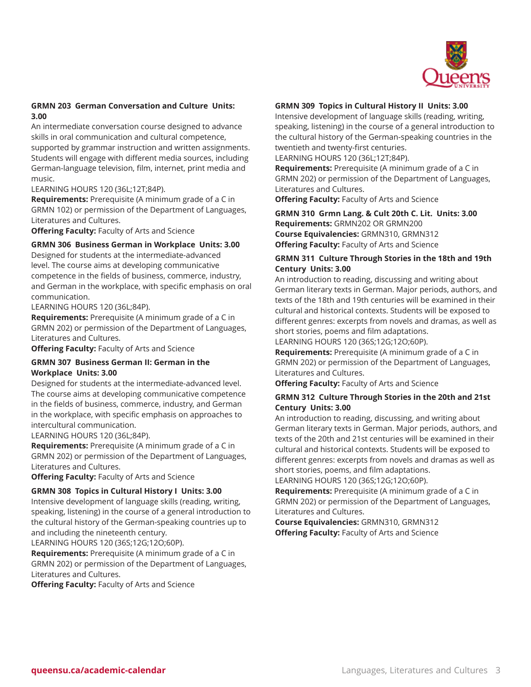

# **GRMN 203 German Conversation and Culture Units: 3.00**

An intermediate conversation course designed to advance skills in oral communication and cultural competence, supported by grammar instruction and written assignments. Students will engage with different media sources, including German-language television, film, internet, print media and music.

#### LEARNING HOURS 120 (36L;12T;84P).

**Requirements:** Prerequisite (A minimum grade of a C in GRMN 102) or permission of the Department of Languages, Literatures and Cultures.

**Offering Faculty:** Faculty of Arts and Science

# **GRMN 306 Business German in Workplace Units: 3.00**

Designed for students at the intermediate-advanced level. The course aims at developing communicative competence in the fields of business, commerce, industry, and German in the workplace, with specific emphasis on oral communication.

LEARNING HOURS 120 (36L;84P).

**Requirements:** Prerequisite (A minimum grade of a C in GRMN 202) or permission of the Department of Languages, Literatures and Cultures.

**Offering Faculty:** Faculty of Arts and Science

#### **GRMN 307 Business German II: German in the Workplace Units: 3.00**

Designed for students at the intermediate-advanced level. The course aims at developing communicative competence in the fields of business, commerce, industry, and German in the workplace, with specific emphasis on approaches to intercultural communication.

LEARNING HOURS 120 (36L;84P).

**Requirements:** Prerequisite (A minimum grade of a C in GRMN 202) or permission of the Department of Languages, Literatures and Cultures.

**Offering Faculty:** Faculty of Arts and Science

#### **GRMN 308 Topics in Cultural History I Units: 3.00**

Intensive development of language skills (reading, writing, speaking, listening) in the course of a general introduction to the cultural history of the German-speaking countries up to and including the nineteenth century.

LEARNING HOURS 120 (36S;12G;12O;60P).

**Requirements:** Prerequisite (A minimum grade of a C in GRMN 202) or permission of the Department of Languages, Literatures and Cultures.

**Offering Faculty:** Faculty of Arts and Science

## **GRMN 309 Topics in Cultural History II Units: 3.00**

Intensive development of language skills (reading, writing, speaking, listening) in the course of a general introduction to the cultural history of the German-speaking countries in the twentieth and twenty-first centuries.

LEARNING HOURS 120 (36L;12T;84P).

**Requirements:** Prerequisite (A minimum grade of a C in GRMN 202) or permission of the Department of Languages, Literatures and Cultures.

**Offering Faculty:** Faculty of Arts and Science

**GRMN 310 Grmn Lang. & Cult 20th C. Lit. Units: 3.00 Requirements:** GRMN202 OR GRMN200 **Course Equivalencies:** GRMN310, GRMN312 **Offering Faculty:** Faculty of Arts and Science

#### **GRMN 311 Culture Through Stories in the 18th and 19th Century Units: 3.00**

An introduction to reading, discussing and writing about German literary texts in German. Major periods, authors, and texts of the 18th and 19th centuries will be examined in their cultural and historical contexts. Students will be exposed to different genres: excerpts from novels and dramas, as well as short stories, poems and film adaptations. LEARNING HOURS 120 (36S;12G;12O;60P).

**Requirements:** Prerequisite (A minimum grade of a C in GRMN 202) or permission of the Department of Languages, Literatures and Cultures.

**Offering Faculty:** Faculty of Arts and Science

#### **GRMN 312 Culture Through Stories in the 20th and 21st Century Units: 3.00**

An introduction to reading, discussing, and writing about German literary texts in German. Major periods, authors, and texts of the 20th and 21st centuries will be examined in their cultural and historical contexts. Students will be exposed to different genres: excerpts from novels and dramas as well as short stories, poems, and film adaptations. LEARNING HOURS 120 (36S;12G;12O;60P).

**Requirements:** Prerequisite (A minimum grade of a C in GRMN 202) or permission of the Department of Languages, Literatures and Cultures.

**Course Equivalencies:** GRMN310, GRMN312 **Offering Faculty:** Faculty of Arts and Science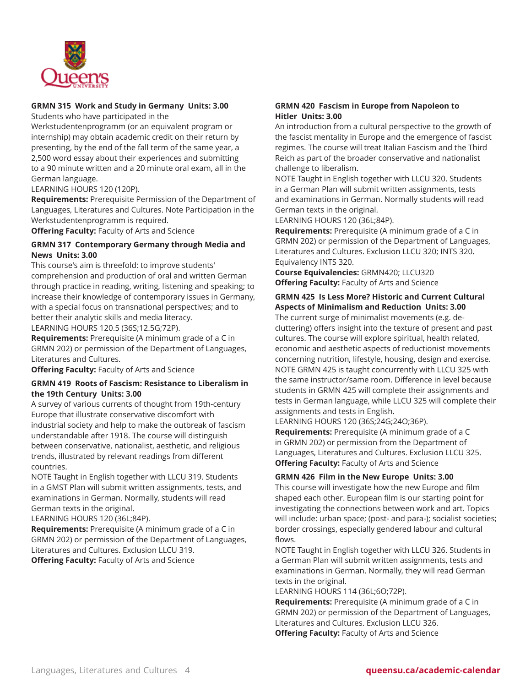

# **GRMN 315 Work and Study in Germany Units: 3.00**

Students who have participated in the

Werkstudentenprogramm (or an equivalent program or internship) may obtain academic credit on their return by presenting, by the end of the fall term of the same year, a 2,500 word essay about their experiences and submitting to a 90 minute written and a 20 minute oral exam, all in the German language.

LEARNING HOURS 120 (120P).

**Requirements:** Prerequisite Permission of the Department of Languages, Literatures and Cultures. Note Participation in the Werkstudentenprogramm is required.

**Offering Faculty:** Faculty of Arts and Science

#### **GRMN 317 Contemporary Germany through Media and News Units: 3.00**

This course's aim is threefold: to improve students' comprehension and production of oral and written German through practice in reading, writing, listening and speaking; to increase their knowledge of contemporary issues in Germany, with a special focus on transnational perspectives; and to better their analytic skills and media literacy. LEARNING HOURS 120.5 (36S;12.5G;72P).

**Requirements:** Prerequisite (A minimum grade of a C in

GRMN 202) or permission of the Department of Languages, Literatures and Cultures.

**Offering Faculty:** Faculty of Arts and Science

#### **GRMN 419 Roots of Fascism: Resistance to Liberalism in the 19th Century Units: 3.00**

A survey of various currents of thought from 19th-century Europe that illustrate conservative discomfort with industrial society and help to make the outbreak of fascism understandable after 1918. The course will distinguish between conservative, nationalist, aesthetic, and religious trends, illustrated by relevant readings from different countries.

NOTE Taught in English together with LLCU 319. Students in a GMST Plan will submit written assignments, tests, and examinations in German. Normally, students will read German texts in the original.

LEARNING HOURS 120 (36L;84P).

**Requirements:** Prerequisite (A minimum grade of a C in GRMN 202) or permission of the Department of Languages, Literatures and Cultures. Exclusion LLCU 319. **Offering Faculty:** Faculty of Arts and Science

## **GRMN 420 Fascism in Europe from Napoleon to Hitler Units: 3.00**

An introduction from a cultural perspective to the growth of the fascist mentality in Europe and the emergence of fascist regimes. The course will treat Italian Fascism and the Third Reich as part of the broader conservative and nationalist challenge to liberalism.

NOTE Taught in English together with LLCU 320. Students in a German Plan will submit written assignments, tests and examinations in German. Normally students will read German texts in the original.

LEARNING HOURS 120 (36L;84P).

**Requirements:** Prerequisite (A minimum grade of a C in GRMN 202) or permission of the Department of Languages, Literatures and Cultures. Exclusion LLCU 320; INTS 320. Equivalency INTS 320.

**Course Equivalencies:** GRMN420; LLCU320 **Offering Faculty:** Faculty of Arts and Science

# **GRMN 425 Is Less More? Historic and Current Cultural Aspects of Minimalism and Reduction Units: 3.00**

The current surge of minimalist movements (e.g. decluttering) offers insight into the texture of present and past cultures. The course will explore spiritual, health related, economic and aesthetic aspects of reductionist movements concerning nutrition, lifestyle, housing, design and exercise. NOTE GRMN 425 is taught concurrently with LLCU 325 with the same instructor/same room. Difference in level because students in GRMN 425 will complete their assignments and tests in German language, while LLCU 325 will complete their assignments and tests in English.

LEARNING HOURS 120 (36S;24G;24O;36P).

**Requirements:** Prerequisite (A minimum grade of a C in GRMN 202) or permission from the Department of Languages, Literatures and Cultures. Exclusion LLCU 325. **Offering Faculty:** Faculty of Arts and Science

#### **GRMN 426 Film in the New Europe Units: 3.00**

This course will investigate how the new Europe and film shaped each other. European film is our starting point for investigating the connections between work and art. Topics will include: urban space; (post- and para-); socialist societies; border crossings, especially gendered labour and cultural flows.

NOTE Taught in English together with LLCU 326. Students in a German Plan will submit written assignments, tests and examinations in German. Normally, they will read German texts in the original.

LEARNING HOURS 114 (36L;6O;72P).

**Requirements:** Prerequisite (A minimum grade of a C in GRMN 202) or permission of the Department of Languages, Literatures and Cultures. Exclusion LLCU 326. **Offering Faculty:** Faculty of Arts and Science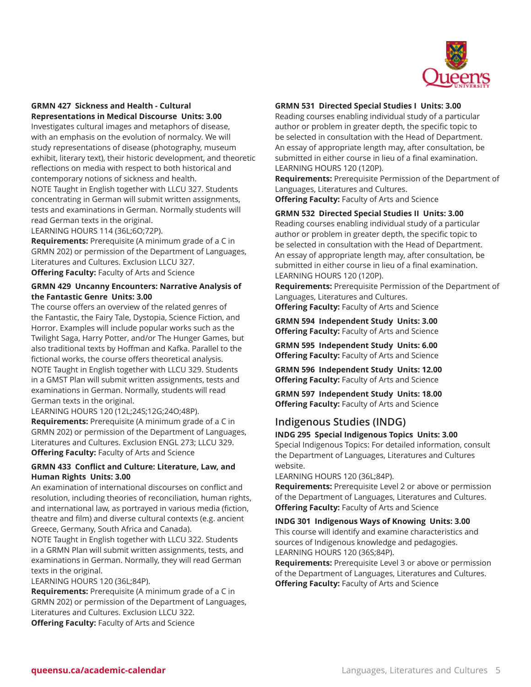

# **GRMN 427 Sickness and Health - Cultural Representations in Medical Discourse Units: 3.00**

Investigates cultural images and metaphors of disease, with an emphasis on the evolution of normalcy. We will study representations of disease (photography, museum exhibit, literary text), their historic development, and theoretic reflections on media with respect to both historical and contemporary notions of sickness and health. NOTE Taught in English together with LLCU 327. Students concentrating in German will submit written assignments,

tests and examinations in German. Normally students will read German texts in the original.

LEARNING HOURS 114 (36L;6O;72P).

**Requirements:** Prerequisite (A minimum grade of a C in GRMN 202) or permission of the Department of Languages, Literatures and Cultures. Exclusion LLCU 327. **Offering Faculty:** Faculty of Arts and Science

# **GRMN 429 Uncanny Encounters: Narrative Analysis of the Fantastic Genre Units: 3.00**

The course offers an overview of the related genres of the Fantastic, the Fairy Tale, Dystopia, Science Fiction, and Horror. Examples will include popular works such as the Twilight Saga, Harry Potter, and/or The Hunger Games, but also traditional texts by Hoffman and Kafka. Parallel to the fictional works, the course offers theoretical analysis. NOTE Taught in English together with LLCU 329. Students in a GMST Plan will submit written assignments, tests and examinations in German. Normally, students will read German texts in the original.

LEARNING HOURS 120 (12L;24S;12G;24O;48P). **Requirements:** Prerequisite (A minimum grade of a C in GRMN 202) or permission of the Department of Languages, Literatures and Cultures. Exclusion ENGL 273; LLCU 329. **Offering Faculty:** Faculty of Arts and Science

# **GRMN 433 Conflict and Culture: Literature, Law, and Human Rights Units: 3.00**

An examination of international discourses on conflict and resolution, including theories of reconciliation, human rights, and international law, as portrayed in various media (fiction, theatre and film) and diverse cultural contexts (e.g. ancient Greece, Germany, South Africa and Canada).

NOTE Taught in English together with LLCU 322. Students in a GRMN Plan will submit written assignments, tests, and examinations in German. Normally, they will read German texts in the original.

LEARNING HOURS 120 (36L;84P).

**Requirements:** Prerequisite (A minimum grade of a C in GRMN 202) or permission of the Department of Languages, Literatures and Cultures. Exclusion LLCU 322. **Offering Faculty:** Faculty of Arts and Science

# **GRMN 531 Directed Special Studies I Units: 3.00**

Reading courses enabling individual study of a particular author or problem in greater depth, the specific topic to be selected in consultation with the Head of Department. An essay of appropriate length may, after consultation, be submitted in either course in lieu of a final examination. LEARNING HOURS 120 (120P).

**Requirements:** Prerequisite Permission of the Department of Languages, Literatures and Cultures.

**Offering Faculty:** Faculty of Arts and Science

#### **GRMN 532 Directed Special Studies II Units: 3.00**

Reading courses enabling individual study of a particular author or problem in greater depth, the specific topic to be selected in consultation with the Head of Department. An essay of appropriate length may, after consultation, be submitted in either course in lieu of a final examination. LEARNING HOURS 120 (120P).

**Requirements:** Prerequisite Permission of the Department of Languages, Literatures and Cultures.

**Offering Faculty:** Faculty of Arts and Science

**GRMN 594 Independent Study Units: 3.00 Offering Faculty:** Faculty of Arts and Science

**GRMN 595 Independent Study Units: 6.00 Offering Faculty:** Faculty of Arts and Science

**GRMN 596 Independent Study Units: 12.00 Offering Faculty:** Faculty of Arts and Science

**GRMN 597 Independent Study Units: 18.00 Offering Faculty:** Faculty of Arts and Science

# **Indigenous Studies (INDG)**

# **INDG 295 Special Indigenous Topics Units: 3.00**

Special Indigenous Topics: For detailed information, consult the Department of Languages, Literatures and Cultures website.

LEARNING HOURS 120 (36L;84P).

**Requirements:** Prerequisite Level 2 or above or permission of the Department of Languages, Literatures and Cultures. **Offering Faculty:** Faculty of Arts and Science

**INDG 301 Indigenous Ways of Knowing Units: 3.00** This course will identify and examine characteristics and sources of Indigenous knowledge and pedagogies. LEARNING HOURS 120 (36S;84P).

**Requirements:** Prerequisite Level 3 or above or permission of the Department of Languages, Literatures and Cultures. **Offering Faculty:** Faculty of Arts and Science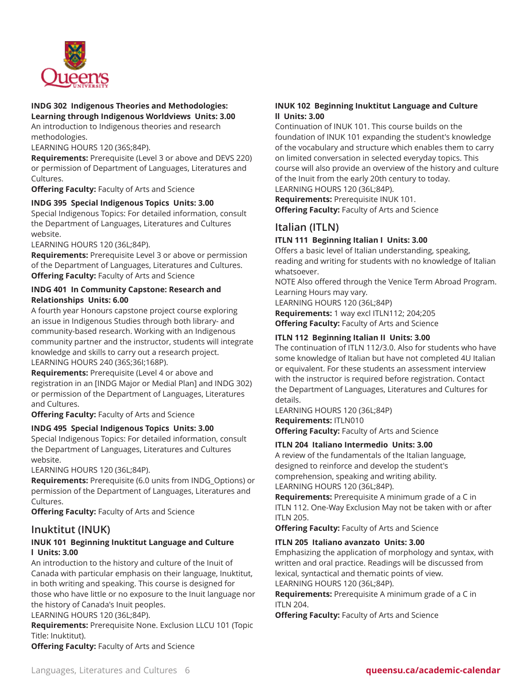

#### **INDG 302 Indigenous Theories and Methodologies: Learning through Indigenous Worldviews Units: 3.00**

An introduction to Indigenous theories and research methodologies.

LEARNING HOURS 120 (36S;84P).

**Requirements:** Prerequisite (Level 3 or above and DEVS 220) or permission of Department of Languages, Literatures and Cultures.

**Offering Faculty:** Faculty of Arts and Science

#### **INDG 395 Special Indigenous Topics Units: 3.00**

Special Indigenous Topics: For detailed information, consult the Department of Languages, Literatures and Cultures website.

LEARNING HOURS 120 (36L;84P).

**Requirements:** Prerequisite Level 3 or above or permission of the Department of Languages, Literatures and Cultures. **Offering Faculty:** Faculty of Arts and Science

#### **INDG 401 In Community Capstone: Research and Relationships Units: 6.00**

A fourth year Honours capstone project course exploring an issue in Indigenous Studies through both library- and community-based research. Working with an Indigenous community partner and the instructor, students will integrate knowledge and skills to carry out a research project. LEARNING HOURS 240 (36S;36I;168P).

**Requirements:** Prerequisite (Level 4 or above and registration in an [INDG Major or Medial Plan] and INDG 302) or permission of the Department of Languages, Literatures and Cultures.

**Offering Faculty:** Faculty of Arts and Science

#### **INDG 495 Special Indigenous Topics Units: 3.00**

Special Indigenous Topics: For detailed information, consult the Department of Languages, Literatures and Cultures website.

LEARNING HOURS 120 (36L;84P).

**Requirements:** Prerequisite (6.0 units from INDG\_Options) or permission of the Department of Languages, Literatures and Cultures.

**Offering Faculty:** Faculty of Arts and Science

# **Inuktitut (INUK)**

# **INUK 101 Beginning Inuktitut Language and Culture l Units: 3.00**

An introduction to the history and culture of the Inuit of Canada with particular emphasis on their language, Inuktitut, in both writing and speaking. This course is designed for those who have little or no exposure to the Inuit language nor the history of Canada's Inuit peoples.

#### LEARNING HOURS 120 (36L;84P).

**Requirements:** Prerequisite None. Exclusion LLCU 101 (Topic Title: Inuktitut).

**Offering Faculty:** Faculty of Arts and Science

# **INUK 102 Beginning Inuktitut Language and Culture ll Units: 3.00**

Continuation of INUK 101. This course builds on the foundation of INUK 101 expanding the student's knowledge of the vocabulary and structure which enables them to carry on limited conversation in selected everyday topics. This course will also provide an overview of the history and culture of the Inuit from the early 20th century to today.

LEARNING HOURS 120 (36L;84P).

**Requirements:** Prerequisite INUK 101. **Offering Faculty:** Faculty of Arts and Science

# **Italian (ITLN)**

#### **ITLN 111 Beginning Italian I Units: 3.00**

Offers a basic level of Italian understanding, speaking, reading and writing for students with no knowledge of Italian whatsoever.

NOTE Also offered through the Venice Term Abroad Program. Learning Hours may vary.

LEARNING HOURS 120 (36L;84P)

**Requirements:** 1 way excl ITLN112; 204;205 **Offering Faculty:** Faculty of Arts and Science

#### **ITLN 112 Beginning Italian II Units: 3.00**

The continuation of ITLN 112/3.0. Also for students who have some knowledge of Italian but have not completed 4U Italian or equivalent. For these students an assessment interview with the instructor is required before registration. Contact the Department of Languages, Literatures and Cultures for details.

LEARNING HOURS 120 (36L;84P) **Requirements:** ITLN010 **Offering Faculty:** Faculty of Arts and Science

#### **ITLN 204 Italiano Intermedio Units: 3.00**

A review of the fundamentals of the Italian language, designed to reinforce and develop the student's comprehension, speaking and writing ability. LEARNING HOURS 120 (36L;84P).

**Requirements:** Prerequisite A minimum grade of a C in ITLN 112. One-Way Exclusion May not be taken with or after ITLN 205.

**Offering Faculty:** Faculty of Arts and Science

#### **ITLN 205 Italiano avanzato Units: 3.00**

Emphasizing the application of morphology and syntax, with written and oral practice. Readings will be discussed from lexical, syntactical and thematic points of view. LEARNING HOURS 120 (36L;84P).

**Requirements:** Prerequisite A minimum grade of a C in ITLN 204.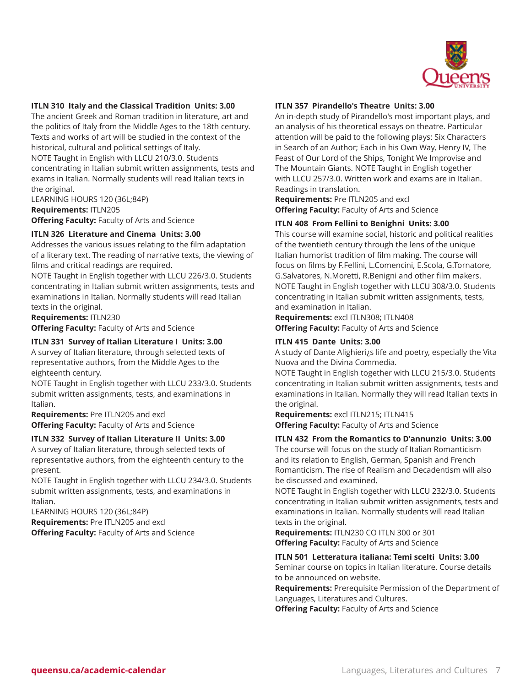

#### **ITLN 310 Italy and the Classical Tradition Units: 3.00**

The ancient Greek and Roman tradition in literature, art and the politics of Italy from the Middle Ages to the 18th century. Texts and works of art will be studied in the context of the historical, cultural and political settings of Italy. NOTE Taught in English with LLCU 210/3.0. Students concentrating in Italian submit written assignments, tests and exams in Italian. Normally students will read Italian texts in the original.

LEARNING HOURS 120 (36L;84P)

**Requirements:** ITLN205

**Offering Faculty:** Faculty of Arts and Science

#### **ITLN 326 Literature and Cinema Units: 3.00**

Addresses the various issues relating to the film adaptation of a literary text. The reading of narrative texts, the viewing of films and critical readings are required.

NOTE Taught in English together with LLCU 226/3.0. Students concentrating in Italian submit written assignments, tests and examinations in Italian. Normally students will read Italian texts in the original.

**Requirements:** ITLN230

**Offering Faculty:** Faculty of Arts and Science

#### **ITLN 331 Survey of Italian Literature I Units: 3.00**

A survey of Italian literature, through selected texts of representative authors, from the Middle Ages to the eighteenth century.

NOTE Taught in English together with LLCU 233/3.0. Students submit written assignments, tests, and examinations in Italian.

**Requirements:** Pre ITLN205 and excl **Offering Faculty:** Faculty of Arts and Science

#### **ITLN 332 Survey of Italian Literature II Units: 3.00**

A survey of Italian literature, through selected texts of representative authors, from the eighteenth century to the present.

NOTE Taught in English together with LLCU 234/3.0. Students submit written assignments, tests, and examinations in Italian.

LEARNING HOURS 120 (36L;84P) **Requirements:** Pre ITLN205 and excl **Offering Faculty:** Faculty of Arts and Science

#### **ITLN 357 Pirandello's Theatre Units: 3.00**

An in-depth study of Pirandello's most important plays, and an analysis of his theoretical essays on theatre. Particular attention will be paid to the following plays: Six Characters in Search of an Author; Each in his Own Way, Henry IV, The Feast of Our Lord of the Ships, Tonight We Improvise and The Mountain Giants. NOTE Taught in English together with LLCU 257/3.0. Written work and exams are in Italian. Readings in translation.

**Requirements:** Pre ITLN205 and excl **Offering Faculty:** Faculty of Arts and Science

#### **ITLN 408 From Fellini to Benighni Units: 3.00**

This course will examine social, historic and political realities of the twentieth century through the lens of the unique Italian humorist tradition of film making. The course will focus on films by F.Fellini, L.Comencini, E.Scola, G.Tornatore, G.Salvatores, N.Moretti, R.Benigni and other film makers. NOTE Taught in English together with LLCU 308/3.0. Students concentrating in Italian submit written assignments, tests, and examination in Italian.

**Requirements:** excl ITLN308; ITLN408 **Offering Faculty:** Faculty of Arts and Science

#### **ITLN 415 Dante Units: 3.00**

A study of Dante Alighieri¿s life and poetry, especially the Vita Nuova and the Divina Commedia.

NOTE Taught in English together with LLCU 215/3.0. Students concentrating in Italian submit written assignments, tests and examinations in Italian. Normally they will read Italian texts in the original.

**Requirements:** excl ITLN215; ITLN415 **Offering Faculty:** Faculty of Arts and Science

#### **ITLN 432 From the Romantics to D'annunzio Units: 3.00**

The course will focus on the study of Italian Romanticism and its relation to English, German, Spanish and French Romanticism. The rise of Realism and Decadentism will also be discussed and examined.

NOTE Taught in English together with LLCU 232/3.0. Students concentrating in Italian submit written assignments, tests and examinations in Italian. Normally students will read Italian texts in the original.

**Requirements:** ITLN230 CO ITLN 300 or 301 **Offering Faculty:** Faculty of Arts and Science

**ITLN 501 Letteratura italiana: Temi scelti Units: 3.00** Seminar course on topics in Italian literature. Course details to be announced on website.

**Requirements:** Prerequisite Permission of the Department of Languages, Literatures and Cultures.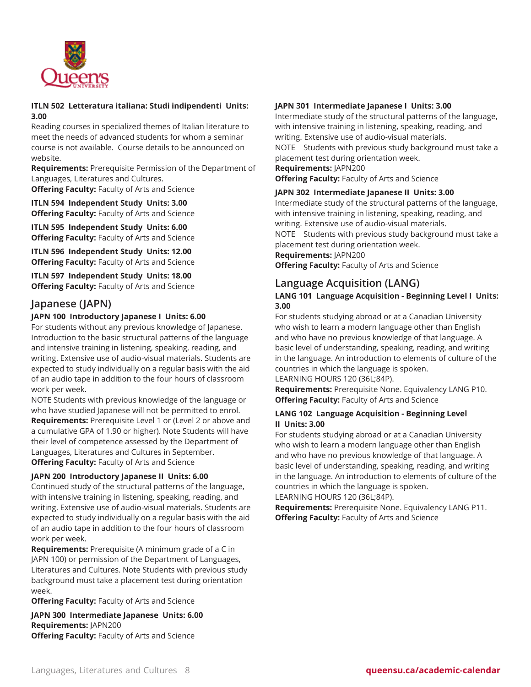

#### **ITLN 502 Letteratura italiana: Studi indipendenti Units: 3.00**

Reading courses in specialized themes of Italian literature to meet the needs of advanced students for whom a seminar course is not available. Course details to be announced on website.

**Requirements:** Prerequisite Permission of the Department of Languages, Literatures and Cultures.

**Offering Faculty:** Faculty of Arts and Science

**ITLN 594 Independent Study Units: 3.00 Offering Faculty:** Faculty of Arts and Science

**ITLN 595 Independent Study Units: 6.00 Offering Faculty:** Faculty of Arts and Science

**ITLN 596 Independent Study Units: 12.00 Offering Faculty:** Faculty of Arts and Science

**ITLN 597 Independent Study Units: 18.00 Offering Faculty:** Faculty of Arts and Science

# **Japanese (JAPN)**

# **JAPN 100 Introductory Japanese I Units: 6.00**

For students without any previous knowledge of Japanese. Introduction to the basic structural patterns of the language and intensive training in listening, speaking, reading, and writing. Extensive use of audio-visual materials. Students are expected to study individually on a regular basis with the aid of an audio tape in addition to the four hours of classroom work per week.

NOTE Students with previous knowledge of the language or who have studied Japanese will not be permitted to enrol.

**Requirements:** Prerequisite Level 1 or (Level 2 or above and a cumulative GPA of 1.90 or higher). Note Students will have their level of competence assessed by the Department of Languages, Literatures and Cultures in September. **Offering Faculty:** Faculty of Arts and Science

#### **JAPN 200 Introductory Japanese II Units: 6.00**

Continued study of the structural patterns of the language, with intensive training in listening, speaking, reading, and writing. Extensive use of audio-visual materials. Students are expected to study individually on a regular basis with the aid of an audio tape in addition to the four hours of classroom work per week.

**Requirements:** Prerequisite (A minimum grade of a C in JAPN 100) or permission of the Department of Languages, Literatures and Cultures. Note Students with previous study background must take a placement test during orientation week.

**Offering Faculty:** Faculty of Arts and Science

**JAPN 300 Intermediate Japanese Units: 6.00 Requirements:** JAPN200 **Offering Faculty:** Faculty of Arts and Science

# **JAPN 301 Intermediate Japanese I Units: 3.00**

Intermediate study of the structural patterns of the language, with intensive training in listening, speaking, reading, and writing. Extensive use of audio-visual materials. NOTE Students with previous study background must take a

placement test during orientation week.

**Requirements:** JAPN200

**Offering Faculty:** Faculty of Arts and Science

# **JAPN 302 Intermediate Japanese II Units: 3.00**

Intermediate study of the structural patterns of the language, with intensive training in listening, speaking, reading, and writing. Extensive use of audio-visual materials.

NOTE Students with previous study background must take a placement test during orientation week.

**Requirements:** JAPN200

**Offering Faculty:** Faculty of Arts and Science

# **Language Acquisition (LANG)**

# **LANG 101 Language Acquisition - Beginning Level I Units: 3.00**

For students studying abroad or at a Canadian University who wish to learn a modern language other than English and who have no previous knowledge of that language. A basic level of understanding, speaking, reading, and writing in the language. An introduction to elements of culture of the countries in which the language is spoken.

LEARNING HOURS 120 (36L;84P).

**Requirements:** Prerequisite None. Equivalency LANG P10. **Offering Faculty:** Faculty of Arts and Science

# **LANG 102 Language Acquisition - Beginning Level II Units: 3.00**

For students studying abroad or at a Canadian University who wish to learn a modern language other than English and who have no previous knowledge of that language. A basic level of understanding, speaking, reading, and writing in the language. An introduction to elements of culture of the countries in which the language is spoken. LEARNING HOURS 120 (36L;84P).

**Requirements:** Prerequisite None. Equivalency LANG P11. **Offering Faculty:** Faculty of Arts and Science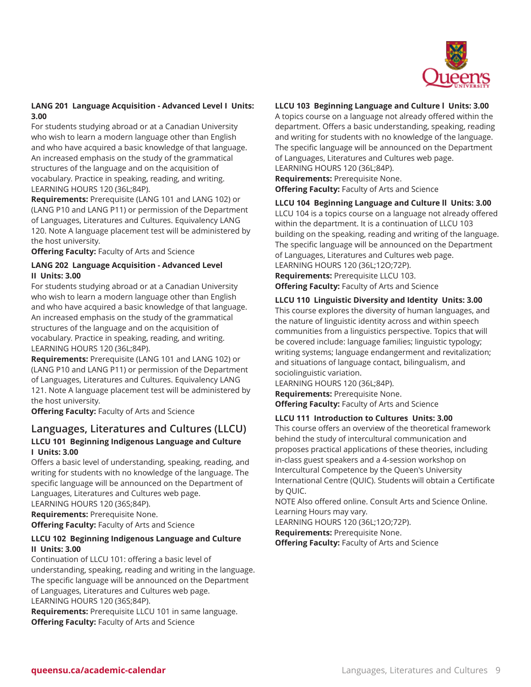

# **LANG 201 Language Acquisition - Advanced Level I Units: 3.00**

For students studying abroad or at a Canadian University who wish to learn a modern language other than English and who have acquired a basic knowledge of that language. An increased emphasis on the study of the grammatical structures of the language and on the acquisition of vocabulary. Practice in speaking, reading, and writing. LEARNING HOURS 120 (36L;84P).

**Requirements:** Prerequisite (LANG 101 and LANG 102) or (LANG P10 and LANG P11) or permission of the Department of Languages, Literatures and Cultures. Equivalency LANG 120. Note A language placement test will be administered by the host university.

**Offering Faculty:** Faculty of Arts and Science

# **LANG 202 Language Acquisition - Advanced Level II Units: 3.00**

For students studying abroad or at a Canadian University who wish to learn a modern language other than English and who have acquired a basic knowledge of that language. An increased emphasis on the study of the grammatical structures of the language and on the acquisition of vocabulary. Practice in speaking, reading, and writing. LEARNING HOURS 120 (36L;84P).

**Requirements:** Prerequisite (LANG 101 and LANG 102) or (LANG P10 and LANG P11) or permission of the Department of Languages, Literatures and Cultures. Equivalency LANG 121. Note A language placement test will be administered by the host university.

**Offering Faculty:** Faculty of Arts and Science

# **Languages, Literatures and Cultures (LLCU) LLCU 101 Beginning Indigenous Language and Culture I Units: 3.00**

Offers a basic level of understanding, speaking, reading, and writing for students with no knowledge of the language. The specific language will be announced on the Department of Languages, Literatures and Cultures web page. LEARNING HOURS 120 (36S;84P).

**Requirements:** Prerequisite None.

**Offering Faculty:** Faculty of Arts and Science

# **LLCU 102 Beginning Indigenous Language and Culture II Units: 3.00**

Continuation of LLCU 101: offering a basic level of understanding, speaking, reading and writing in the language. The specific language will be announced on the Department of Languages, Literatures and Cultures web page. LEARNING HOURS 120 (36S;84P).

**Requirements:** Prerequisite LLCU 101 in same language. **Offering Faculty:** Faculty of Arts and Science

# **LLCU 103 Beginning Language and Culture l Units: 3.00**

A topics course on a language not already offered within the department. Offers a basic understanding, speaking, reading and writing for students with no knowledge of the language. The specific language will be announced on the Department of Languages, Literatures and Cultures web page. LEARNING HOURS 120 (36L;84P).

**Requirements:** Prerequisite None. **Offering Faculty:** Faculty of Arts and Science

# **LLCU 104 Beginning Language and Culture ll Units: 3.00**

LLCU 104 is a topics course on a language not already offered within the department. It is a continuation of LLCU 103 building on the speaking, reading and writing of the language. The specific language will be announced on the Department of Languages, Literatures and Cultures web page.

LEARNING HOURS 120 (36L;12O;72P). **Requirements:** Prerequisite LLCU 103.

**Offering Faculty:** Faculty of Arts and Science

# **LLCU 110 Linguistic Diversity and Identity Units: 3.00**

This course explores the diversity of human languages, and the nature of linguistic identity across and within speech communities from a linguistics perspective. Topics that will be covered include: language families; linguistic typology; writing systems; language endangerment and revitalization; and situations of language contact, bilingualism, and sociolinguistic variation.

LEARNING HOURS 120 (36L;84P). **Requirements:** Prerequisite None. **Offering Faculty:** Faculty of Arts and Science

#### **LLCU 111 Introduction to Cultures Units: 3.00**

This course offers an overview of the theoretical framework behind the study of intercultural communication and proposes practical applications of these theories, including in-class guest speakers and a 4-session workshop on Intercultural Competence by the Queen's University International Centre (QUIC). Students will obtain a Certificate by QUIC.

NOTE Also offered online. Consult Arts and Science Online. Learning Hours may vary.

LEARNING HOURS 120 (36L;12O;72P).

**Requirements:** Prerequisite None.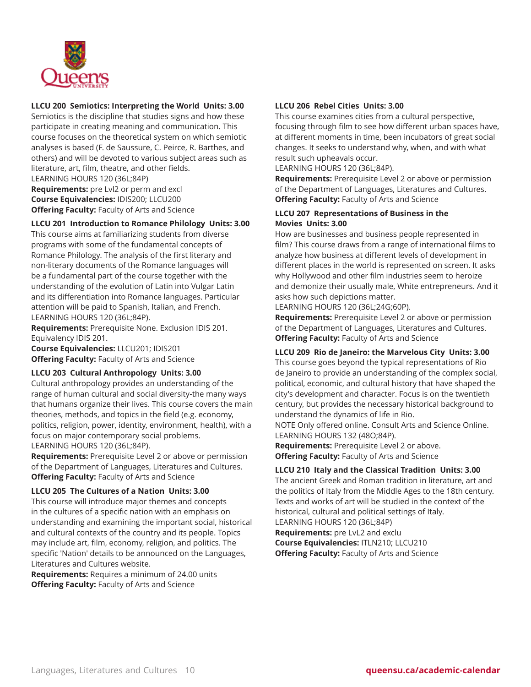

# **LLCU 200 Semiotics: Interpreting the World Units: 3.00**

Semiotics is the discipline that studies signs and how these participate in creating meaning and communication. This course focuses on the theoretical system on which semiotic analyses is based (F. de Saussure, C. Peirce, R. Barthes, and others) and will be devoted to various subject areas such as literature, art, film, theatre, and other fields.

LEARNING HOURS 120 (36L;84P)

**Requirements:** pre Lvl2 or perm and excl **Course Equivalencies:** IDIS200; LLCU200 **Offering Faculty:** Faculty of Arts and Science

#### **LLCU 201 Introduction to Romance Philology Units: 3.00**

This course aims at familiarizing students from diverse programs with some of the fundamental concepts of Romance Philology. The analysis of the first literary and non-literary documents of the Romance languages will be a fundamental part of the course together with the understanding of the evolution of Latin into Vulgar Latin and its differentiation into Romance languages. Particular attention will be paid to Spanish, Italian, and French. LEARNING HOURS 120 (36L;84P).

**Requirements:** Prerequisite None. Exclusion IDIS 201. Equivalency IDIS 201.

**Course Equivalencies:** LLCU201; IDIS201 **Offering Faculty:** Faculty of Arts and Science

#### **LLCU 203 Cultural Anthropology Units: 3.00**

Cultural anthropology provides an understanding of the range of human cultural and social diversity-the many ways that humans organize their lives. This course covers the main theories, methods, and topics in the field (e.g. economy, politics, religion, power, identity, environment, health), with a focus on major contemporary social problems. LEARNING HOURS 120 (36L;84P).

**Requirements:** Prerequisite Level 2 or above or permission of the Department of Languages, Literatures and Cultures. **Offering Faculty:** Faculty of Arts and Science

#### **LLCU 205 The Cultures of a Nation Units: 3.00**

This course will introduce major themes and concepts in the cultures of a specific nation with an emphasis on understanding and examining the important social, historical and cultural contexts of the country and its people. Topics may include art, film, economy, religion, and politics. The specific 'Nation' details to be announced on the Languages, Literatures and Cultures website.

**Requirements:** Requires a minimum of 24.00 units **Offering Faculty:** Faculty of Arts and Science

# **LLCU 206 Rebel Cities Units: 3.00**

This course examines cities from a cultural perspective, focusing through film to see how different urban spaces have, at different moments in time, been incubators of great social changes. It seeks to understand why, when, and with what result such upheavals occur.

LEARNING HOURS 120 (36L;84P).

**Requirements:** Prerequisite Level 2 or above or permission of the Department of Languages, Literatures and Cultures. **Offering Faculty:** Faculty of Arts and Science

# **LLCU 207 Representations of Business in the Movies Units: 3.00**

How are businesses and business people represented in film? This course draws from a range of international films to analyze how business at different levels of development in different places in the world is represented on screen. It asks why Hollywood and other film industries seem to heroize and demonize their usually male, White entrepreneurs. And it asks how such depictions matter.

LEARNING HOURS 120 (36L;24G;60P).

**Requirements:** Prerequisite Level 2 or above or permission of the Department of Languages, Literatures and Cultures. **Offering Faculty:** Faculty of Arts and Science

# **LLCU 209 Rio de Janeiro: the Marvelous City Units: 3.00**

This course goes beyond the typical representations of Rio de Janeiro to provide an understanding of the complex social, political, economic, and cultural history that have shaped the city's development and character. Focus is on the twentieth century, but provides the necessary historical background to understand the dynamics of life in Rio.

NOTE Only offered online. Consult Arts and Science Online. LEARNING HOURS 132 (48O;84P).

**Requirements:** Prerequisite Level 2 or above. **Offering Faculty:** Faculty of Arts and Science

# **LLCU 210 Italy and the Classical Tradition Units: 3.00**

The ancient Greek and Roman tradition in literature, art and the politics of Italy from the Middle Ages to the 18th century. Texts and works of art will be studied in the context of the historical, cultural and political settings of Italy. LEARNING HOURS 120 (36L;84P) **Requirements:** pre LvL2 and exclu **Course Equivalencies:** ITLN210; LLCU210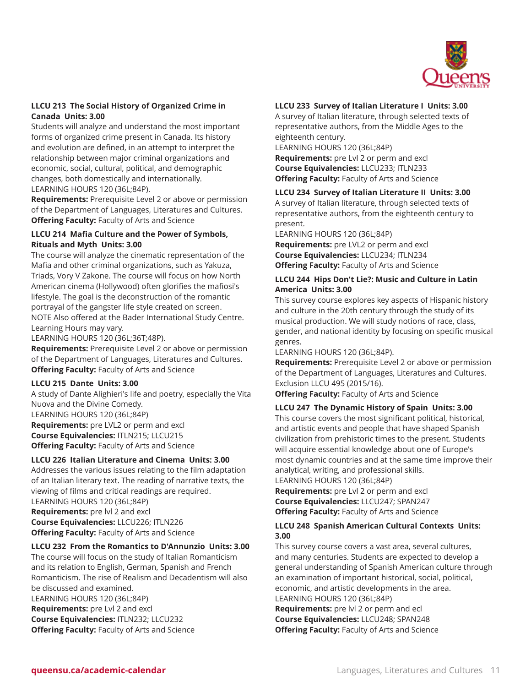

# **LLCU 213 The Social History of Organized Crime in Canada Units: 3.00**

Students will analyze and understand the most important forms of organized crime present in Canada. Its history and evolution are defined, in an attempt to interpret the relationship between major criminal organizations and economic, social, cultural, political, and demographic changes, both domestically and internationally. LEARNING HOURS 120 (36L;84P).

**Requirements:** Prerequisite Level 2 or above or permission of the Department of Languages, Literatures and Cultures. **Offering Faculty:** Faculty of Arts and Science

# **LLCU 214 Mafia Culture and the Power of Symbols, Rituals and Myth Units: 3.00**

The course will analyze the cinematic representation of the Mafia and other criminal organizations, such as Yakuza, Triads, Vory V Zakone. The course will focus on how North American cinema (Hollywood) often glorifies the mafiosi's lifestyle. The goal is the deconstruction of the romantic portrayal of the gangster life style created on screen. NOTE Also offered at the Bader International Study Centre. Learning Hours may vary.

LEARNING HOURS 120 (36L;36T;48P).

**Requirements:** Prerequisite Level 2 or above or permission of the Department of Languages, Literatures and Cultures. **Offering Faculty:** Faculty of Arts and Science

# **LLCU 215 Dante Units: 3.00**

A study of Dante Alighieri's life and poetry, especially the Vita Nuova and the Divine Comedy. LEARNING HOURS 120 (36L;84P) **Requirements:** pre LVL2 or perm and excl **Course Equivalencies:** ITLN215; LLCU215 **Offering Faculty:** Faculty of Arts and Science

# **LLCU 226 Italian Literature and Cinema Units: 3.00**

Addresses the various issues relating to the film adaptation of an Italian literary text. The reading of narrative texts, the viewing of films and critical readings are required.

LEARNING HOURS 120 (36L;84P) **Requirements:** pre lvl 2 and excl **Course Equivalencies:** LLCU226; ITLN226 **Offering Faculty:** Faculty of Arts and Science

# **LLCU 232 From the Romantics to D'Annunzio Units: 3.00**

The course will focus on the study of Italian Romanticism and its relation to English, German, Spanish and French Romanticism. The rise of Realism and Decadentism will also be discussed and examined. LEARNING HOURS 120 (36L;84P) **Requirements:** pre Lvl 2 and excl **Course Equivalencies:** ITLN232; LLCU232 **Offering Faculty:** Faculty of Arts and Science

# **LLCU 233 Survey of Italian Literature I Units: 3.00**

A survey of Italian literature, through selected texts of representative authors, from the Middle Ages to the eighteenth century.

LEARNING HOURS 120 (36L;84P)

**Requirements:** pre Lvl 2 or perm and excl **Course Equivalencies:** LLCU233; ITLN233 **Offering Faculty:** Faculty of Arts and Science

# **LLCU 234 Survey of Italian Literature II Units: 3.00**

A survey of Italian literature, through selected texts of representative authors, from the eighteenth century to present.

LEARNING HOURS 120 (36L;84P)

**Requirements:** pre LVL2 or perm and excl **Course Equivalencies:** LLCU234; ITLN234 **Offering Faculty:** Faculty of Arts and Science

# **LLCU 244 Hips Don't Lie?: Music and Culture in Latin America Units: 3.00**

This survey course explores key aspects of Hispanic history and culture in the 20th century through the study of its musical production. We will study notions of race, class, gender, and national identity by focusing on specific musical genres.

LEARNING HOURS 120 (36L;84P).

**Requirements:** Prerequisite Level 2 or above or permission of the Department of Languages, Literatures and Cultures. Exclusion LLCU 495 (2015/16).

**Offering Faculty:** Faculty of Arts and Science

# **LLCU 247 The Dynamic History of Spain Units: 3.00**

This course covers the most significant political, historical, and artistic events and people that have shaped Spanish civilization from prehistoric times to the present. Students will acquire essential knowledge about one of Europe's most dynamic countries and at the same time improve their analytical, writing, and professional skills.

LEARNING HOURS 120 (36L;84P)

**Requirements:** pre Lvl 2 or perm and excl **Course Equivalencies:** LLCU247; SPAN247 **Offering Faculty:** Faculty of Arts and Science

# **LLCU 248 Spanish American Cultural Contexts Units: 3.00**

This survey course covers a vast area, several cultures, and many centuries. Students are expected to develop a general understanding of Spanish American culture through an examination of important historical, social, political, economic, and artistic developments in the area. LEARNING HOURS 120 (36L;84P)

**Requirements:** pre lvl 2 or perm and ecl **Course Equivalencies:** LLCU248; SPAN248 **Offering Faculty:** Faculty of Arts and Science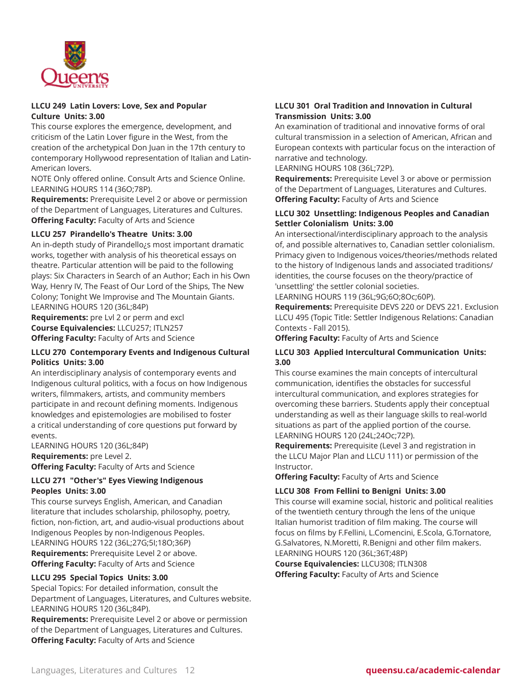

#### **LLCU 249 Latin Lovers: Love, Sex and Popular Culture Units: 3.00**

This course explores the emergence, development, and criticism of the Latin Lover figure in the West, from the creation of the archetypical Don Juan in the 17th century to contemporary Hollywood representation of Italian and Latin-American lovers.

NOTE Only offered online. Consult Arts and Science Online. LEARNING HOURS 114 (36O;78P).

**Requirements:** Prerequisite Level 2 or above or permission of the Department of Languages, Literatures and Cultures. **Offering Faculty:** Faculty of Arts and Science

# **LLCU 257 Pirandello's Theatre Units: 3.00**

An in-depth study of Pirandello¿s most important dramatic works, together with analysis of his theoretical essays on theatre. Particular attention will be paid to the following plays: Six Characters in Search of an Author; Each in his Own Way, Henry IV, The Feast of Our Lord of the Ships, The New Colony; Tonight We Improvise and The Mountain Giants. LEARNING HOURS 120 (36L;84P)

**Requirements:** pre Lvl 2 or perm and excl **Course Equivalencies:** LLCU257; ITLN257 **Offering Faculty:** Faculty of Arts and Science

# **LLCU 270 Contemporary Events and Indigenous Cultural Politics Units: 3.00**

An interdisciplinary analysis of contemporary events and Indigenous cultural politics, with a focus on how Indigenous writers, filmmakers, artists, and community members participate in and recount defining moments. Indigenous knowledges and epistemologies are mobilised to foster a critical understanding of core questions put forward by events.

LEARNING HOURS 120 (36L;84P) **Requirements:** pre Level 2. **Offering Faculty:** Faculty of Arts and Science

#### **LLCU 271 "Other's" Eyes Viewing Indigenous Peoples Units: 3.00**

This course surveys English, American, and Canadian literature that includes scholarship, philosophy, poetry, fiction, non-fiction, art, and audio-visual productions about Indigenous Peoples by non-Indigenous Peoples. LEARNING HOURS 122 (36L;27G;5I;18O;36P) **Requirements:** Prerequisite Level 2 or above. **Offering Faculty:** Faculty of Arts and Science

# **LLCU 295 Special Topics Units: 3.00**

Special Topics: For detailed information, consult the Department of Languages, Literatures, and Cultures website. LEARNING HOURS 120 (36L;84P).

**Requirements:** Prerequisite Level 2 or above or permission of the Department of Languages, Literatures and Cultures. **Offering Faculty:** Faculty of Arts and Science

# **LLCU 301 Oral Tradition and Innovation in Cultural Transmission Units: 3.00**

An examination of traditional and innovative forms of oral cultural transmission in a selection of American, African and European contexts with particular focus on the interaction of narrative and technology.

LEARNING HOURS 108 (36L;72P).

**Requirements:** Prerequisite Level 3 or above or permission of the Department of Languages, Literatures and Cultures. **Offering Faculty:** Faculty of Arts and Science

# **LLCU 302 Unsettling: Indigenous Peoples and Canadian Settler Colonialism Units: 3.00**

An intersectional/interdisciplinary approach to the analysis of, and possible alternatives to, Canadian settler colonialism. Primacy given to Indigenous voices/theories/methods related to the history of Indigenous lands and associated traditions/ identities, the course focuses on the theory/practice of 'unsettling' the settler colonial societies.

LEARNING HOURS 119 (36L;9G;6O;8Oc;60P).

**Requirements:** Prerequisite DEVS 220 or DEVS 221. Exclusion LLCU 495 (Topic Title: Settler Indigenous Relations: Canadian Contexts - Fall 2015).

**Offering Faculty:** Faculty of Arts and Science

# **LLCU 303 Applied Intercultural Communication Units: 3.00**

This course examines the main concepts of intercultural communication, identifies the obstacles for successful intercultural communication, and explores strategies for overcoming these barriers. Students apply their conceptual understanding as well as their language skills to real-world situations as part of the applied portion of the course. LEARNING HOURS 120 (24L;24Oc;72P).

**Requirements:** Prerequisite (Level 3 and registration in the LLCU Major Plan and LLCU 111) or permission of the Instructor.

**Offering Faculty:** Faculty of Arts and Science

# **LLCU 308 From Fellini to Benigni Units: 3.00**

This course will examine social, historic and political realities of the twentieth century through the lens of the unique Italian humorist tradition of film making. The course will focus on films by F.Fellini, L.Comencini, E.Scola, G.Tornatore, G.Salvatores, N.Moretti, R.Benigni and other film makers. LEARNING HOURS 120 (36L;36T;48P)

**Course Equivalencies:** LLCU308; ITLN308 **Offering Faculty:** Faculty of Arts and Science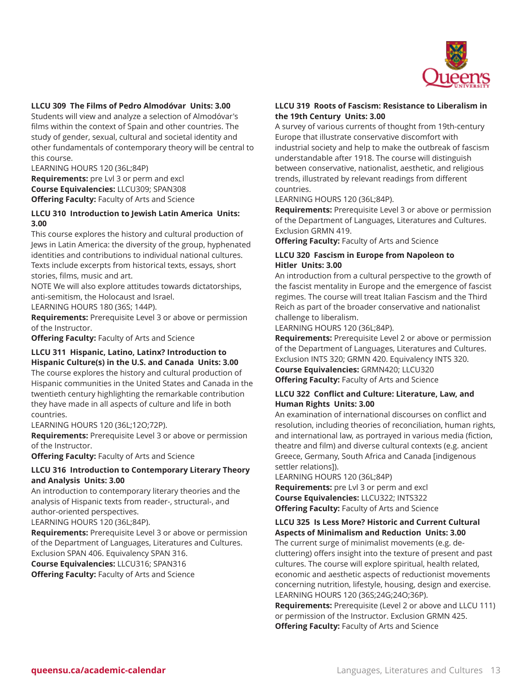

#### **LLCU 309 The Films of Pedro Almodóvar Units: 3.00**

Students will view and analyze a selection of Almodóvar's films within the context of Spain and other countries. The study of gender, sexual, cultural and societal identity and other fundamentals of contemporary theory will be central to this course.

LEARNING HOURS 120 (36L;84P)

**Requirements:** pre Lvl 3 or perm and excl **Course Equivalencies:** LLCU309; SPAN308 **Offering Faculty:** Faculty of Arts and Science

#### **LLCU 310 Introduction to Jewish Latin America Units: 3.00**

This course explores the history and cultural production of Jews in Latin America: the diversity of the group, hyphenated identities and contributions to individual national cultures. Texts include excerpts from historical texts, essays, short stories, films, music and art.

NOTE We will also explore attitudes towards dictatorships, anti-semitism, the Holocaust and Israel.

LEARNING HOURS 180 (36S; 144P).

**Requirements:** Prerequisite Level 3 or above or permission of the Instructor.

**Offering Faculty:** Faculty of Arts and Science

#### **LLCU 311 Hispanic, Latino, Latinx? Introduction to Hispanic Culture(s) in the U.S. and Canada Units: 3.00**

The course explores the history and cultural production of Hispanic communities in the United States and Canada in the twentieth century highlighting the remarkable contribution they have made in all aspects of culture and life in both countries.

LEARNING HOURS 120 (36L;12O;72P).

**Requirements:** Prerequisite Level 3 or above or permission of the Instructor.

**Offering Faculty:** Faculty of Arts and Science

#### **LLCU 316 Introduction to Contemporary Literary Theory and Analysis Units: 3.00**

An introduction to contemporary literary theories and the analysis of Hispanic texts from reader-, structural-, and author-oriented perspectives.

LEARNING HOURS 120 (36L;84P).

**Requirements:** Prerequisite Level 3 or above or permission of the Department of Languages, Literatures and Cultures. Exclusion SPAN 406. Equivalency SPAN 316.

**Course Equivalencies:** LLCU316; SPAN316 **Offering Faculty:** Faculty of Arts and Science

## **LLCU 319 Roots of Fascism: Resistance to Liberalism in the 19th Century Units: 3.00**

A survey of various currents of thought from 19th-century Europe that illustrate conservative discomfort with industrial society and help to make the outbreak of fascism understandable after 1918. The course will distinguish between conservative, nationalist, aesthetic, and religious trends, illustrated by relevant readings from different countries.

LEARNING HOURS 120 (36L;84P).

**Requirements:** Prerequisite Level 3 or above or permission of the Department of Languages, Literatures and Cultures. Exclusion GRMN 419.

**Offering Faculty:** Faculty of Arts and Science

#### **LLCU 320 Fascism in Europe from Napoleon to Hitler Units: 3.00**

An introduction from a cultural perspective to the growth of the fascist mentality in Europe and the emergence of fascist regimes. The course will treat Italian Fascism and the Third Reich as part of the broader conservative and nationalist challenge to liberalism.

LEARNING HOURS 120 (36L;84P).

**Requirements:** Prerequisite Level 2 or above or permission of the Department of Languages, Literatures and Cultures. Exclusion INTS 320; GRMN 420. Equivalency INTS 320.

**Course Equivalencies:** GRMN420; LLCU320 **Offering Faculty:** Faculty of Arts and Science

#### **LLCU 322 Conflict and Culture: Literature, Law, and Human Rights Units: 3.00**

An examination of international discourses on conflict and resolution, including theories of reconciliation, human rights, and international law, as portrayed in various media (fiction, theatre and film) and diverse cultural contexts (e.g. ancient Greece, Germany, South Africa and Canada [indigenous settler relations]).

LEARNING HOURS 120 (36L;84P)

**Requirements:** pre Lvl 3 or perm and excl **Course Equivalencies:** LLCU322; INTS322 **Offering Faculty:** Faculty of Arts and Science

#### **LLCU 325 Is Less More? Historic and Current Cultural Aspects of Minimalism and Reduction Units: 3.00**

The current surge of minimalist movements (e.g. decluttering) offers insight into the texture of present and past cultures. The course will explore spiritual, health related, economic and aesthetic aspects of reductionist movements concerning nutrition, lifestyle, housing, design and exercise. LEARNING HOURS 120 (36S;24G;24O;36P).

**Requirements:** Prerequisite (Level 2 or above and LLCU 111) or permission of the Instructor. Exclusion GRMN 425. **Offering Faculty:** Faculty of Arts and Science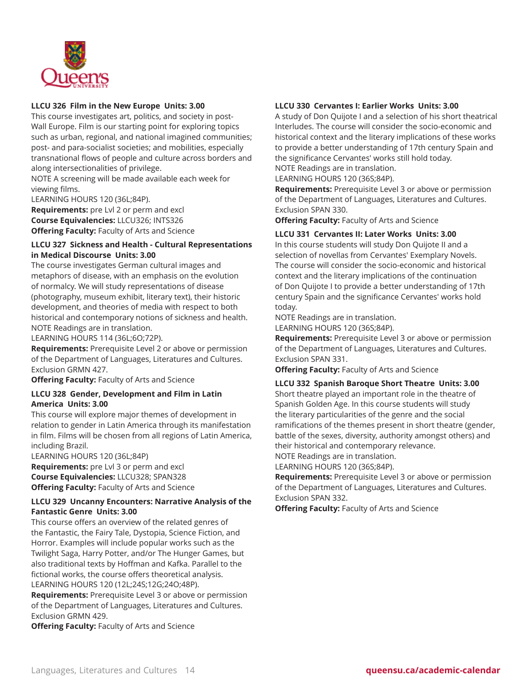

# **LLCU 326 Film in the New Europe Units: 3.00**

This course investigates art, politics, and society in post-Wall Europe. Film is our starting point for exploring topics such as urban, regional, and national imagined communities; post- and para-socialist societies; and mobilities, especially transnational flows of people and culture across borders and along intersectionalities of privilege.

NOTE A screening will be made available each week for viewing films.

LEARNING HOURS 120 (36L;84P).

**Requirements:** pre Lvl 2 or perm and excl **Course Equivalencies:** LLCU326; INTS326 **Offering Faculty:** Faculty of Arts and Science

# **LLCU 327 Sickness and Health - Cultural Representations in Medical Discourse Units: 3.00**

The course investigates German cultural images and metaphors of disease, with an emphasis on the evolution of normalcy. We will study representations of disease (photography, museum exhibit, literary text), their historic development, and theories of media with respect to both historical and contemporary notions of sickness and health. NOTE Readings are in translation.

LEARNING HOURS 114 (36L;6O;72P).

**Requirements:** Prerequisite Level 2 or above or permission of the Department of Languages, Literatures and Cultures. Exclusion GRMN 427.

**Offering Faculty:** Faculty of Arts and Science

#### **LLCU 328 Gender, Development and Film in Latin America Units: 3.00**

This course will explore major themes of development in relation to gender in Latin America through its manifestation in film. Films will be chosen from all regions of Latin America, including Brazil.

LEARNING HOURS 120 (36L;84P) **Requirements:** pre Lvl 3 or perm and excl **Course Equivalencies:** LLCU328; SPAN328 **Offering Faculty:** Faculty of Arts and Science

# **LLCU 329 Uncanny Encounters: Narrative Analysis of the Fantastic Genre Units: 3.00**

This course offers an overview of the related genres of the Fantastic, the Fairy Tale, Dystopia, Science Fiction, and Horror. Examples will include popular works such as the Twilight Saga, Harry Potter, and/or The Hunger Games, but also traditional texts by Hoffman and Kafka. Parallel to the fictional works, the course offers theoretical analysis. LEARNING HOURS 120 (12L;24S;12G;24O;48P).

**Requirements:** Prerequisite Level 3 or above or permission of the Department of Languages, Literatures and Cultures. Exclusion GRMN 429.

**Offering Faculty:** Faculty of Arts and Science

# **LLCU 330 Cervantes I: Earlier Works Units: 3.00**

A study of Don Quijote I and a selection of his short theatrical Interludes. The course will consider the socio-economic and historical context and the literary implications of these works to provide a better understanding of 17th century Spain and the significance Cervantes' works still hold today. NOTE Readings are in translation.

LEARNING HOURS 120 (36S;84P).

**Requirements:** Prerequisite Level 3 or above or permission of the Department of Languages, Literatures and Cultures. Exclusion SPAN 330.

**Offering Faculty:** Faculty of Arts and Science

# **LLCU 331 Cervantes II: Later Works Units: 3.00**

In this course students will study Don Quijote II and a selection of novellas from Cervantes' Exemplary Novels. The course will consider the socio-economic and historical context and the literary implications of the continuation of Don Quijote I to provide a better understanding of 17th century Spain and the significance Cervantes' works hold today.

NOTE Readings are in translation. LEARNING HOURS 120 (36S;84P).

**Requirements:** Prerequisite Level 3 or above or permission of the Department of Languages, Literatures and Cultures.

Exclusion SPAN 331.

**Offering Faculty:** Faculty of Arts and Science

**LLCU 332 Spanish Baroque Short Theatre Units: 3.00** Short theatre played an important role in the theatre of Spanish Golden Age. In this course students will study the literary particularities of the genre and the social ramifications of the themes present in short theatre (gender, battle of the sexes, diversity, authority amongst others) and their historical and contemporary relevance. NOTE Readings are in translation.

LEARNING HOURS 120 (36S;84P).

**Requirements:** Prerequisite Level 3 or above or permission of the Department of Languages, Literatures and Cultures. Exclusion SPAN 332.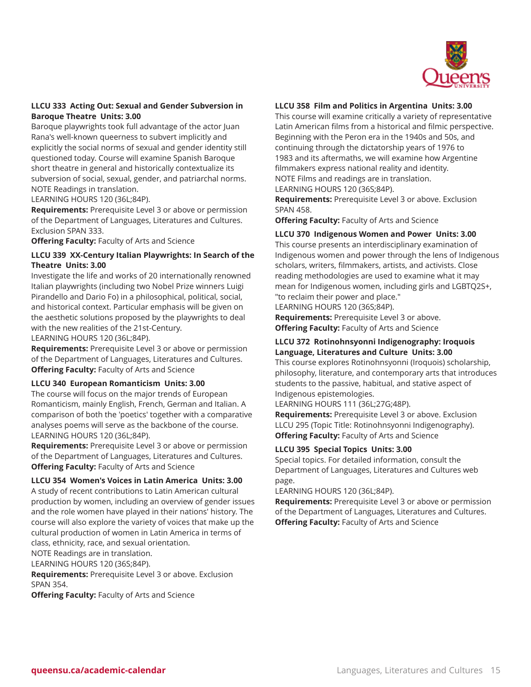

# **LLCU 333 Acting Out: Sexual and Gender Subversion in Baroque Theatre Units: 3.00**

Baroque playwrights took full advantage of the actor Juan Rana's well-known queerness to subvert implicitly and explicitly the social norms of sexual and gender identity still questioned today. Course will examine Spanish Baroque short theatre in general and historically contextualize its subversion of social, sexual, gender, and patriarchal norms. NOTE Readings in translation.

LEARNING HOURS 120 (36L;84P).

**Requirements:** Prerequisite Level 3 or above or permission of the Department of Languages, Literatures and Cultures. Exclusion SPAN 333.

**Offering Faculty:** Faculty of Arts and Science

# **LLCU 339 XX-Century Italian Playwrights: In Search of the Theatre Units: 3.00**

Investigate the life and works of 20 internationally renowned Italian playwrights (including two Nobel Prize winners Luigi Pirandello and Dario Fo) in a philosophical, political, social, and historical context. Particular emphasis will be given on the aesthetic solutions proposed by the playwrights to deal with the new realities of the 21st-Century.

LEARNING HOURS 120 (36L;84P).

**Requirements:** Prerequisite Level 3 or above or permission of the Department of Languages, Literatures and Cultures. **Offering Faculty:** Faculty of Arts and Science

#### **LLCU 340 European Romanticism Units: 3.00**

The course will focus on the major trends of European Romanticism, mainly English, French, German and Italian. A comparison of both the 'poetics' together with a comparative analyses poems will serve as the backbone of the course. LEARNING HOURS 120 (36L;84P).

**Requirements:** Prerequisite Level 3 or above or permission of the Department of Languages, Literatures and Cultures. **Offering Faculty:** Faculty of Arts and Science

#### **LLCU 354 Women's Voices in Latin America Units: 3.00**

A study of recent contributions to Latin American cultural production by women, including an overview of gender issues and the role women have played in their nations' history. The course will also explore the variety of voices that make up the cultural production of women in Latin America in terms of class, ethnicity, race, and sexual orientation.

NOTE Readings are in translation.

LEARNING HOURS 120 (36S;84P).

**Requirements:** Prerequisite Level 3 or above. Exclusion SPAN 354.

**Offering Faculty:** Faculty of Arts and Science

#### **LLCU 358 Film and Politics in Argentina Units: 3.00**

This course will examine critically a variety of representative Latin American films from a historical and filmic perspective. Beginning with the Peron era in the 1940s and 50s, and continuing through the dictatorship years of 1976 to 1983 and its aftermaths, we will examine how Argentine filmmakers express national reality and identity. NOTE Films and readings are in translation.

LEARNING HOURS 120 (36S;84P).

**Requirements:** Prerequisite Level 3 or above. Exclusion SPAN 458.

**Offering Faculty:** Faculty of Arts and Science

#### **LLCU 370 Indigenous Women and Power Units: 3.00**

This course presents an interdisciplinary examination of Indigenous women and power through the lens of Indigenous scholars, writers, filmmakers, artists, and activists. Close reading methodologies are used to examine what it may mean for Indigenous women, including girls and LGBTQ2S+, "to reclaim their power and place."

LEARNING HOURS 120 (36S;84P).

**Requirements:** Prerequisite Level 3 or above. **Offering Faculty:** Faculty of Arts and Science

# **LLCU 372 Rotinohnsyonni Indigenography: Iroquois Language, Literatures and Culture Units: 3.00**

This course explores Rotinohnsyonni (Iroquois) scholarship, philosophy, literature, and contemporary arts that introduces students to the passive, habitual, and stative aspect of Indigenous epistemologies.

LEARNING HOURS 111 (36L;27G;48P).

**Requirements:** Prerequisite Level 3 or above. Exclusion LLCU 295 (Topic Title: Rotinohnsyonni Indigenography). **Offering Faculty:** Faculty of Arts and Science

#### **LLCU 395 Special Topics Units: 3.00**

Special topics. For detailed information, consult the Department of Languages, Literatures and Cultures web page.

LEARNING HOURS 120 (36L;84P).

**Requirements:** Prerequisite Level 3 or above or permission of the Department of Languages, Literatures and Cultures. **Offering Faculty:** Faculty of Arts and Science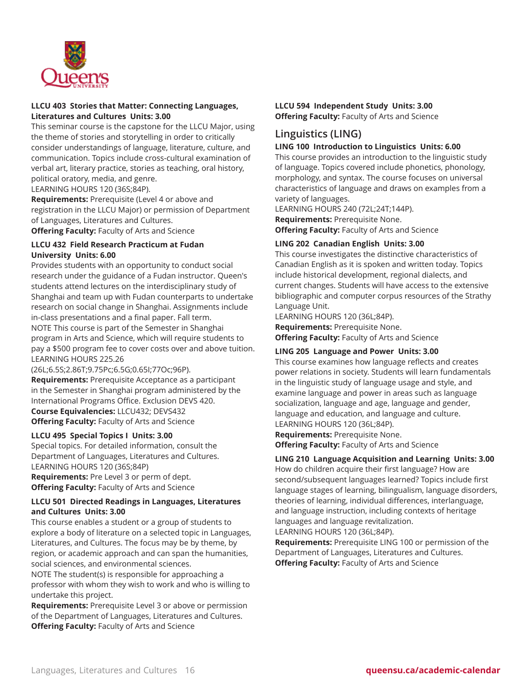

# **LLCU 403 Stories that Matter: Connecting Languages, Literatures and Cultures Units: 3.00**

This seminar course is the capstone for the LLCU Major, using the theme of stories and storytelling in order to critically consider understandings of language, literature, culture, and communication. Topics include cross-cultural examination of verbal art, literary practice, stories as teaching, oral history, political oratory, media, and genre.

LEARNING HOURS 120 (36S;84P).

**Requirements:** Prerequisite (Level 4 or above and registration in the LLCU Major) or permission of Department of Languages, Literatures and Cultures.

**Offering Faculty:** Faculty of Arts and Science

# **LLCU 432 Field Research Practicum at Fudan University Units: 6.00**

Provides students with an opportunity to conduct social research under the guidance of a Fudan instructor. Queen's students attend lectures on the interdisciplinary study of Shanghai and team up with Fudan counterparts to undertake research on social change in Shanghai. Assignments include in-class presentations and a final paper. Fall term. NOTE This course is part of the Semester in Shanghai program in Arts and Science, which will require students to pay a \$500 program fee to cover costs over and above tuition. LEARNING HOURS 225.26

(26L;6.5S;2.86T;9.75Pc;6.5G;0.65I;77Oc;96P). **Requirements:** Prerequisite Acceptance as a participant in the Semester in Shanghai program administered by the International Programs Office. Exclusion DEVS 420. **Course Equivalencies:** LLCU432; DEVS432 **Offering Faculty:** Faculty of Arts and Science

# **LLCU 495 Special Topics I Units: 3.00**

Special topics. For detailed information, consult the Department of Languages, Literatures and Cultures. LEARNING HOURS 120 (36S;84P)

**Requirements:** Pre Level 3 or perm of dept. **Offering Faculty:** Faculty of Arts and Science

#### **LLCU 501 Directed Readings in Languages, Literatures and Cultures Units: 3.00**

This course enables a student or a group of students to explore a body of literature on a selected topic in Languages, Literatures, and Cultures. The focus may be by theme, by region, or academic approach and can span the humanities, social sciences, and environmental sciences.

NOTE The student(s) is responsible for approaching a professor with whom they wish to work and who is willing to undertake this project.

**Requirements:** Prerequisite Level 3 or above or permission of the Department of Languages, Literatures and Cultures. **Offering Faculty:** Faculty of Arts and Science

#### **LLCU 594 Independent Study Units: 3.00 Offering Faculty:** Faculty of Arts and Science

# **Linguistics (LING)**

# **LING 100 Introduction to Linguistics Units: 6.00**

This course provides an introduction to the linguistic study of language. Topics covered include phonetics, phonology, morphology, and syntax. The course focuses on universal characteristics of language and draws on examples from a variety of languages.

LEARNING HOURS 240 (72L;24T;144P).

**Requirements:** Prerequisite None.

**Offering Faculty:** Faculty of Arts and Science

# **LING 202 Canadian English Units: 3.00**

This course investigates the distinctive characteristics of Canadian English as it is spoken and written today. Topics include historical development, regional dialects, and current changes. Students will have access to the extensive bibliographic and computer corpus resources of the Strathy Language Unit.

LEARNING HOURS 120 (36L;84P).

**Requirements:** Prerequisite None.

**Offering Faculty:** Faculty of Arts and Science

# **LING 205 Language and Power Units: 3.00**

This course examines how language reflects and creates power relations in society. Students will learn fundamentals in the linguistic study of language usage and style, and examine language and power in areas such as language socialization, language and age, language and gender, language and education, and language and culture. LEARNING HOURS 120 (36L;84P).

**Requirements:** Prerequisite None. **Offering Faculty:** Faculty of Arts and Science

# **LING 210 Language Acquisition and Learning Units: 3.00**

How do children acquire their first language? How are second/subsequent languages learned? Topics include first language stages of learning, bilingualism, language disorders, theories of learning, individual differences, interlanguage, and language instruction, including contexts of heritage languages and language revitalization. LEARNING HOURS 120 (36L;84P).

**Requirements:** Prerequisite LING 100 or permission of the Department of Languages, Literatures and Cultures. **Offering Faculty:** Faculty of Arts and Science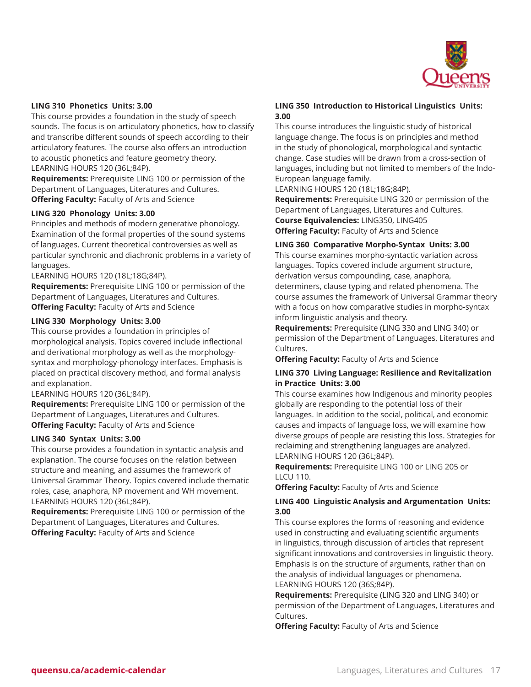

#### **LING 310 Phonetics Units: 3.00**

This course provides a foundation in the study of speech sounds. The focus is on articulatory phonetics, how to classify and transcribe different sounds of speech according to their articulatory features. The course also offers an introduction to acoustic phonetics and feature geometry theory. LEARNING HOURS 120 (36L;84P).

**Requirements:** Prerequisite LING 100 or permission of the Department of Languages, Literatures and Cultures. **Offering Faculty:** Faculty of Arts and Science

#### **LING 320 Phonology Units: 3.00**

Principles and methods of modern generative phonology. Examination of the formal properties of the sound systems of languages. Current theoretical controversies as well as particular synchronic and diachronic problems in a variety of languages.

LEARNING HOURS 120 (18L;18G;84P).

**Requirements:** Prerequisite LING 100 or permission of the Department of Languages, Literatures and Cultures. **Offering Faculty:** Faculty of Arts and Science

#### **LING 330 Morphology Units: 3.00**

This course provides a foundation in principles of morphological analysis. Topics covered include inflectional and derivational morphology as well as the morphologysyntax and morphology-phonology interfaces. Emphasis is placed on practical discovery method, and formal analysis and explanation.

LEARNING HOURS 120 (36L;84P).

**Requirements:** Prerequisite LING 100 or permission of the Department of Languages, Literatures and Cultures. **Offering Faculty:** Faculty of Arts and Science

#### **LING 340 Syntax Units: 3.00**

This course provides a foundation in syntactic analysis and explanation. The course focuses on the relation between structure and meaning, and assumes the framework of Universal Grammar Theory. Topics covered include thematic roles, case, anaphora, NP movement and WH movement. LEARNING HOURS 120 (36L;84P).

**Requirements:** Prerequisite LING 100 or permission of the Department of Languages, Literatures and Cultures. **Offering Faculty:** Faculty of Arts and Science

## **LING 350 Introduction to Historical Linguistics Units: 3.00**

This course introduces the linguistic study of historical language change. The focus is on principles and method in the study of phonological, morphological and syntactic change. Case studies will be drawn from a cross-section of languages, including but not limited to members of the Indo-European language family.

LEARNING HOURS 120 (18L;18G;84P).

**Requirements:** Prerequisite LING 320 or permission of the Department of Languages, Literatures and Cultures. **Course Equivalencies:** LING350, LING405 **Offering Faculty:** Faculty of Arts and Science

#### **LING 360 Comparative Morpho-Syntax Units: 3.00**

This course examines morpho-syntactic variation across languages. Topics covered include argument structure, derivation versus compounding, case, anaphora, determiners, clause typing and related phenomena. The course assumes the framework of Universal Grammar theory with a focus on how comparative studies in morpho-syntax inform linguistic analysis and theory.

**Requirements:** Prerequisite (LING 330 and LING 340) or permission of the Department of Languages, Literatures and Cultures.

**Offering Faculty:** Faculty of Arts and Science

#### **LING 370 Living Language: Resilience and Revitalization in Practice Units: 3.00**

This course examines how Indigenous and minority peoples globally are responding to the potential loss of their languages. In addition to the social, political, and economic causes and impacts of language loss, we will examine how diverse groups of people are resisting this loss. Strategies for reclaiming and strengthening languages are analyzed. LEARNING HOURS 120 (36L;84P).

**Requirements:** Prerequisite LING 100 or LING 205 or LLCU 110.

**Offering Faculty:** Faculty of Arts and Science

#### **LING 400 Linguistic Analysis and Argumentation Units: 3.00**

This course explores the forms of reasoning and evidence used in constructing and evaluating scientific arguments in linguistics, through discussion of articles that represent significant innovations and controversies in linguistic theory. Emphasis is on the structure of arguments, rather than on the analysis of individual languages or phenomena. LEARNING HOURS 120 (36S;84P).

**Requirements:** Prerequisite (LING 320 and LING 340) or permission of the Department of Languages, Literatures and Cultures.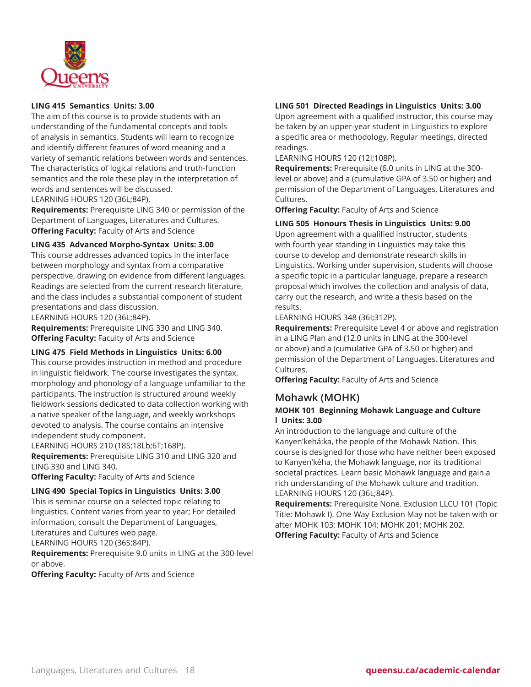

# **LING 415 Semantics Units: 3.00**

The aim of this course is to provide students with an understanding of the fundamental concepts and tools of analysis in semantics. Students will learn to recognize and identify different features of word meaning and a variety of semantic relations between words and sentences. The characteristics of logical relations and truth-function semantics and the role these play in the interpretation of words and sentences will be discussed.

LEARNING HOURS 120 (36L;84P).

**Requirements:** Prerequisite LING 340 or permission of the Department of Languages, Literatures and Cultures. **Offering Faculty:** Faculty of Arts and Science

#### **LING 435 Advanced Morpho-Syntax Units: 3.00**

This course addresses advanced topics in the interface between morphology and syntax from a comparative perspective, drawing on evidence from different languages. Readings are selected from the current research literature, and the class includes a substantial component of student presentations and class discussion.

LEARNING HOURS 120 (36L;84P).

**Requirements:** Prerequisite LING 330 and LING 340. **Offering Faculty:** Faculty of Arts and Science

#### **LING 475 Field Methods in Linguistics Units: 6.00**

This course provides instruction in method and procedure in linguistic fieldwork. The course investigates the syntax, morphology and phonology of a language unfamiliar to the participants. The instruction is structured around weekly fieldwork sessions dedicated to data collection working with a native speaker of the language, and weekly workshops devoted to analysis. The course contains an intensive independent study component.

LEARNING HOURS 210 (18S;18Lb;6T;168P). **Requirements:** Prerequisite LING 310 and LING 320 and LING 330 and LING 340.

**Offering Faculty:** Faculty of Arts and Science

## **LING 490 Special Topics in Linguistics Units: 3.00**

This is seminar course on a selected topic relating to linguistics. Content varies from year to year; For detailed information, consult the Department of Languages, Literatures and Cultures web page. LEARNING HOURS 120 (36S;84P).

**Requirements:** Prerequisite 9.0 units in LING at the 300-level or above.

**Offering Faculty:** Faculty of Arts and Science

#### **LING 501 Directed Readings in Linguistics Units: 3.00**

Upon agreement with a qualified instructor, this course may be taken by an upper-year student in Linguistics to explore a specific area or methodology. Regular meetings, directed readings.

LEARNING HOURS 120 (12I;108P).

**Requirements:** Prerequisite (6.0 units in LING at the 300 level or above) and a (cumulative GPA of 3.50 or higher) and permission of the Department of Languages, Literatures and Cultures.

**Offering Faculty:** Faculty of Arts and Science

#### **LING 505 Honours Thesis in Linguistics Units: 9.00**

Upon agreement with a qualified instructor, students with fourth year standing in Linguistics may take this course to develop and demonstrate research skills in Linguistics. Working under supervision, students will choose a specific topic in a particular language, prepare a research proposal which involves the collection and analysis of data, carry out the research, and write a thesis based on the results.

#### LEARNING HOURS 348 (36I;312P).

**Requirements:** Prerequisite Level 4 or above and registration in a LING Plan and (12.0 units in LING at the 300-level or above) and a (cumulative GPA of 3.50 or higher) and permission of the Department of Languages, Literatures and Cultures.

**Offering Faculty:** Faculty of Arts and Science

# **Mohawk (MOHK)**

## **MOHK 101 Beginning Mohawk Language and Culture l Units: 3.00**

An introduction to the language and culture of the Kanyen'kehá:ka, the people of the Mohawk Nation. This course is designed for those who have neither been exposed to Kanyen'kéha, the Mohawk language, nor its traditional societal practices. Learn basic Mohawk language and gain a rich understanding of the Mohawk culture and tradition. LEARNING HOURS 120 (36L;84P).

**Requirements:** Prerequisite None. Exclusion LLCU 101 (Topic Title: Mohawk I). One-Way Exclusion May not be taken with or after MOHK 103; MOHK 104; MOHK 201; MOHK 202. **Offering Faculty:** Faculty of Arts and Science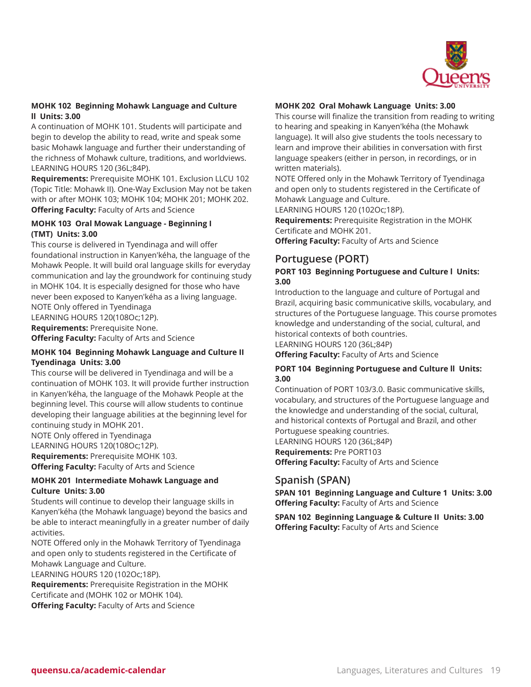

# **MOHK 102 Beginning Mohawk Language and Culture ll Units: 3.00**

A continuation of MOHK 101. Students will participate and begin to develop the ability to read, write and speak some basic Mohawk language and further their understanding of the richness of Mohawk culture, traditions, and worldviews. LEARNING HOURS 120 (36L;84P).

**Requirements:** Prerequisite MOHK 101. Exclusion LLCU 102 (Topic Title: Mohawk II). One-Way Exclusion May not be taken with or after MOHK 103; MOHK 104; MOHK 201; MOHK 202. **Offering Faculty:** Faculty of Arts and Science

# **MOHK 103 Oral Mowak Language - Beginning I (TMT) Units: 3.00**

This course is delivered in Tyendinaga and will offer foundational instruction in Kanyen'kéha, the language of the Mohawk People. It will build oral language skills for everyday communication and lay the groundwork for continuing study in MOHK 104. It is especially designed for those who have never been exposed to Kanyen'kéha as a living language. NOTE Only offered in Tyendinaga

LEARNING HOURS 120(108Oc;12P).

**Requirements:** Prerequisite None.

**Offering Faculty:** Faculty of Arts and Science

# **MOHK 104 Beginning Mohawk Language and Culture II Tyendinaga Units: 3.00**

This course will be delivered in Tyendinaga and will be a continuation of MOHK 103. It will provide further instruction in Kanyen'kéha, the language of the Mohawk People at the beginning level. This course will allow students to continue developing their language abilities at the beginning level for continuing study in MOHK 201.

NOTE Only offered in Tyendinaga LEARNING HOURS 120(108Oc;12P).

**Requirements:** Prerequisite MOHK 103. **Offering Faculty:** Faculty of Arts and Science

# **MOHK 201 Intermediate Mohawk Language and Culture Units: 3.00**

Students will continue to develop their language skills in Kanyen'kéha (the Mohawk language) beyond the basics and be able to interact meaningfully in a greater number of daily activities.

NOTE Offered only in the Mohawk Territory of Tyendinaga and open only to students registered in the Certificate of Mohawk Language and Culture.

LEARNING HOURS 120 (102Oc;18P).

**Requirements:** Prerequisite Registration in the MOHK Certificate and (MOHK 102 or MOHK 104). **Offering Faculty:** Faculty of Arts and Science

# **MOHK 202 Oral Mohawk Language Units: 3.00**

This course will finalize the transition from reading to writing to hearing and speaking in Kanyen'kéha (the Mohawk language). It will also give students the tools necessary to learn and improve their abilities in conversation with first language speakers (either in person, in recordings, or in written materials).

NOTE Offered only in the Mohawk Territory of Tyendinaga and open only to students registered in the Certificate of Mohawk Language and Culture.

LEARNING HOURS 120 (102Oc;18P).

**Requirements:** Prerequisite Registration in the MOHK Certificate and MOHK 201.

**Offering Faculty:** Faculty of Arts and Science

# **Portuguese (PORT)**

# **PORT 103 Beginning Portuguese and Culture l Units: 3.00**

Introduction to the language and culture of Portugal and Brazil, acquiring basic communicative skills, vocabulary, and structures of the Portuguese language. This course promotes knowledge and understanding of the social, cultural, and historical contexts of both countries.

LEARNING HOURS 120 (36L;84P)

**Offering Faculty:** Faculty of Arts and Science

#### **PORT 104 Beginning Portuguese and Culture ll Units: 3.00**

Continuation of PORT 103/3.0. Basic communicative skills, vocabulary, and structures of the Portuguese language and the knowledge and understanding of the social, cultural, and historical contexts of Portugal and Brazil, and other Portuguese speaking countries. LEARNING HOURS 120 (36L;84P)

**Requirements:** Pre PORT103 **Offering Faculty:** Faculty of Arts and Science

# **Spanish (SPAN)**

**SPAN 101 Beginning Language and Culture 1 Units: 3.00 Offering Faculty:** Faculty of Arts and Science

**SPAN 102 Beginning Language & Culture II Units: 3.00 Offering Faculty:** Faculty of Arts and Science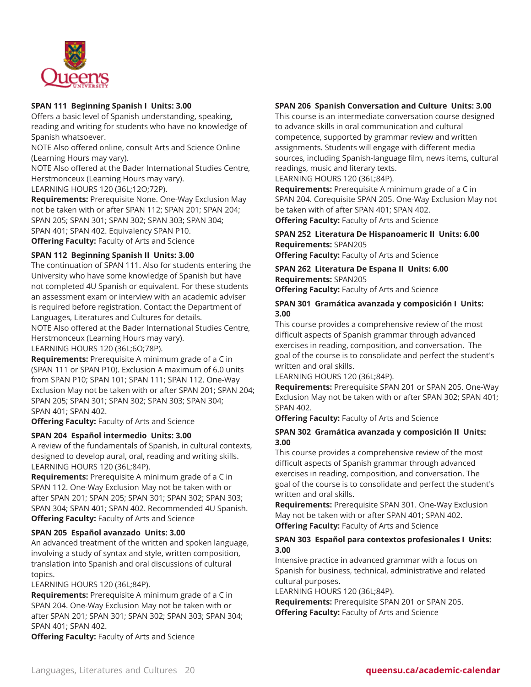

# **SPAN 111 Beginning Spanish I Units: 3.00**

Offers a basic level of Spanish understanding, speaking, reading and writing for students who have no knowledge of Spanish whatsoever.

NOTE Also offered online, consult Arts and Science Online (Learning Hours may vary).

NOTE Also offered at the Bader International Studies Centre, Herstmonceux (Learning Hours may vary).

LEARNING HOURS 120 (36L;12O;72P).

**Requirements:** Prerequisite None. One-Way Exclusion May not be taken with or after SPAN 112; SPAN 201; SPAN 204; SPAN 205; SPAN 301; SPAN 302; SPAN 303; SPAN 304; SPAN 401; SPAN 402. Equivalency SPAN P10. **Offering Faculty:** Faculty of Arts and Science

#### **SPAN 112 Beginning Spanish II Units: 3.00**

The continuation of SPAN 111. Also for students entering the University who have some knowledge of Spanish but have not completed 4U Spanish or equivalent. For these students an assessment exam or interview with an academic adviser is required before registration. Contact the Department of Languages, Literatures and Cultures for details.

NOTE Also offered at the Bader International Studies Centre, Herstmonceux (Learning Hours may vary).

LEARNING HOURS 120 (36L;6O;78P).

**Requirements:** Prerequisite A minimum grade of a C in (SPAN 111 or SPAN P10). Exclusion A maximum of 6.0 units from SPAN P10; SPAN 101; SPAN 111; SPAN 112. One-Way Exclusion May not be taken with or after SPAN 201; SPAN 204; SPAN 205; SPAN 301; SPAN 302; SPAN 303; SPAN 304; SPAN 401; SPAN 402.

**Offering Faculty:** Faculty of Arts and Science

#### **SPAN 204 Español intermedio Units: 3.00**

A review of the fundamentals of Spanish, in cultural contexts, designed to develop aural, oral, reading and writing skills. LEARNING HOURS 120 (36L;84P).

**Requirements:** Prerequisite A minimum grade of a C in SPAN 112. One-Way Exclusion May not be taken with or after SPAN 201; SPAN 205; SPAN 301; SPAN 302; SPAN 303; SPAN 304; SPAN 401; SPAN 402. Recommended 4U Spanish. **Offering Faculty:** Faculty of Arts and Science

#### **SPAN 205 Español avanzado Units: 3.00**

An advanced treatment of the written and spoken language, involving a study of syntax and style, written composition, translation into Spanish and oral discussions of cultural topics.

LEARNING HOURS 120 (36L;84P).

**Requirements:** Prerequisite A minimum grade of a C in SPAN 204. One-Way Exclusion May not be taken with or after SPAN 201; SPAN 301; SPAN 302; SPAN 303; SPAN 304; SPAN 401; SPAN 402.

**Offering Faculty:** Faculty of Arts and Science

# **SPAN 206 Spanish Conversation and Culture Units: 3.00**

This course is an intermediate conversation course designed to advance skills in oral communication and cultural competence, supported by grammar review and written assignments. Students will engage with different media sources, including Spanish-language film, news items, cultural readings, music and literary texts.

LEARNING HOURS 120 (36L;84P).

**Requirements:** Prerequisite A minimum grade of a C in SPAN 204. Corequisite SPAN 205. One-Way Exclusion May not be taken with of after SPAN 401; SPAN 402.

**Offering Faculty:** Faculty of Arts and Science

# **SPAN 252 Literatura De Hispanoameric II Units: 6.00 Requirements:** SPAN205

**Offering Faculty:** Faculty of Arts and Science

**SPAN 262 Literatura De Espana II Units: 6.00 Requirements:** SPAN205

**Offering Faculty:** Faculty of Arts and Science

#### **SPAN 301 Gramática avanzada y composición I Units: 3.00**

This course provides a comprehensive review of the most difficult aspects of Spanish grammar through advanced exercises in reading, composition, and conversation. The goal of the course is to consolidate and perfect the student's written and oral skills.

LEARNING HOURS 120 (36L;84P).

**Requirements:** Prerequisite SPAN 201 or SPAN 205. One-Way Exclusion May not be taken with or after SPAN 302; SPAN 401; SPAN 402.

**Offering Faculty:** Faculty of Arts and Science

#### **SPAN 302 Gramática avanzada y composición II Units: 3.00**

This course provides a comprehensive review of the most difficult aspects of Spanish grammar through advanced exercises in reading, composition, and conversation. The goal of the course is to consolidate and perfect the student's written and oral skills.

**Requirements:** Prerequisite SPAN 301. One-Way Exclusion May not be taken with or after SPAN 401; SPAN 402. **Offering Faculty:** Faculty of Arts and Science

#### **SPAN 303 Español para contextos profesionales I Units: 3.00**

Intensive practice in advanced grammar with a focus on Spanish for business, technical, administrative and related cultural purposes.

LEARNING HOURS 120 (36L;84P).

**Requirements:** Prerequisite SPAN 201 or SPAN 205. **Offering Faculty:** Faculty of Arts and Science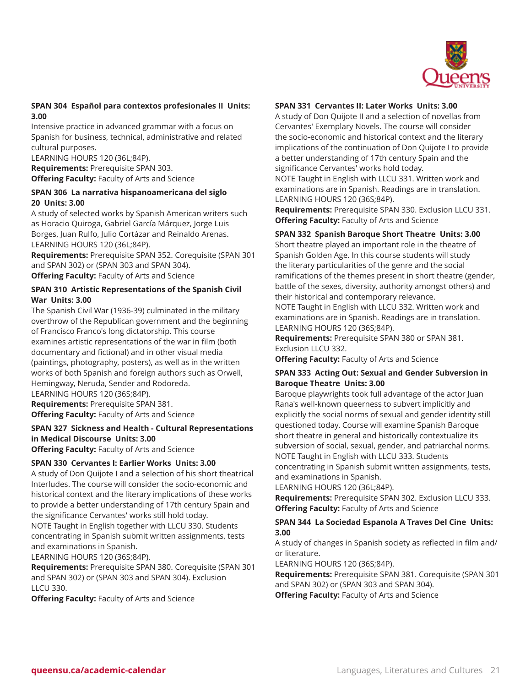

# **SPAN 304 Español para contextos profesionales II Units: 3.00**

Intensive practice in advanced grammar with a focus on Spanish for business, technical, administrative and related cultural purposes.

LEARNING HOURS 120 (36L;84P).

**Requirements:** Prerequisite SPAN 303. **Offering Faculty:** Faculty of Arts and Science

# **SPAN 306 La narrativa hispanoamericana del siglo 20 Units: 3.00**

A study of selected works by Spanish American writers such as Horacio Quiroga, Gabriel García Márquez, Jorge Luis Borges, Juan Rulfo, Julio Cortázar and Reinaldo Arenas. LEARNING HOURS 120 (36L;84P).

**Requirements:** Prerequisite SPAN 352. Corequisite (SPAN 301 and SPAN 302) or (SPAN 303 and SPAN 304). **Offering Faculty:** Faculty of Arts and Science

# **SPAN 310 Artistic Representations of the Spanish Civil War Units: 3.00**

The Spanish Civil War (1936-39) culminated in the military overthrow of the Republican government and the beginning of Francisco Franco's long dictatorship. This course examines artistic representations of the war in film (both documentary and fictional) and in other visual media (paintings, photography, posters), as well as in the written works of both Spanish and foreign authors such as Orwell, Hemingway, Neruda, Sender and Rodoreda. LEARNING HOURS 120 (36S;84P).

**Requirements:** Prerequisite SPAN 381. **Offering Faculty:** Faculty of Arts and Science

# **SPAN 327 Sickness and Health - Cultural Representations in Medical Discourse Units: 3.00**

**Offering Faculty:** Faculty of Arts and Science

# **SPAN 330 Cervantes I: Earlier Works Units: 3.00**

A study of Don Quijote I and a selection of his short theatrical Interludes. The course will consider the socio-economic and historical context and the literary implications of these works to provide a better understanding of 17th century Spain and the significance Cervantes' works still hold today.

NOTE Taught in English together with LLCU 330. Students concentrating in Spanish submit written assignments, tests and examinations in Spanish.

LEARNING HOURS 120 (36S;84P).

**Requirements:** Prerequisite SPAN 380. Corequisite (SPAN 301 and SPAN 302) or (SPAN 303 and SPAN 304). Exclusion LLCU 330.

**Offering Faculty:** Faculty of Arts and Science

# **SPAN 331 Cervantes II: Later Works Units: 3.00**

A study of Don Quijote II and a selection of novellas from Cervantes' Exemplary Novels. The course will consider the socio-economic and historical context and the literary implications of the continuation of Don Quijote I to provide a better understanding of 17th century Spain and the significance Cervantes' works hold today.

NOTE Taught in English with LLCU 331. Written work and examinations are in Spanish. Readings are in translation. LEARNING HOURS 120 (36S;84P).

**Requirements:** Prerequisite SPAN 330. Exclusion LLCU 331. **Offering Faculty:** Faculty of Arts and Science

# **SPAN 332 Spanish Baroque Short Theatre Units: 3.00**

Short theatre played an important role in the theatre of Spanish Golden Age. In this course students will study the literary particularities of the genre and the social ramifications of the themes present in short theatre (gender, battle of the sexes, diversity, authority amongst others) and their historical and contemporary relevance.

NOTE Taught in English with LLCU 332. Written work and examinations are in Spanish. Readings are in translation. LEARNING HOURS 120 (36S;84P).

**Requirements:** Prerequisite SPAN 380 or SPAN 381. Exclusion LLCU 332.

**Offering Faculty:** Faculty of Arts and Science

#### **SPAN 333 Acting Out: Sexual and Gender Subversion in Baroque Theatre Units: 3.00**

Baroque playwrights took full advantage of the actor Juan Rana's well-known queerness to subvert implicitly and explicitly the social norms of sexual and gender identity still questioned today. Course will examine Spanish Baroque short theatre in general and historically contextualize its subversion of social, sexual, gender, and patriarchal norms. NOTE Taught in English with LLCU 333. Students concentrating in Spanish submit written assignments, tests, and examinations in Spanish.

LEARNING HOURS 120 (36L;84P).

**Requirements:** Prerequisite SPAN 302. Exclusion LLCU 333. **Offering Faculty:** Faculty of Arts and Science

#### **SPAN 344 La Sociedad Espanola A Traves Del Cine Units: 3.00**

A study of changes in Spanish society as reflected in film and/ or literature.

LEARNING HOURS 120 (36S;84P).

**Requirements:** Prerequisite SPAN 381. Corequisite (SPAN 301 and SPAN 302) or (SPAN 303 and SPAN 304).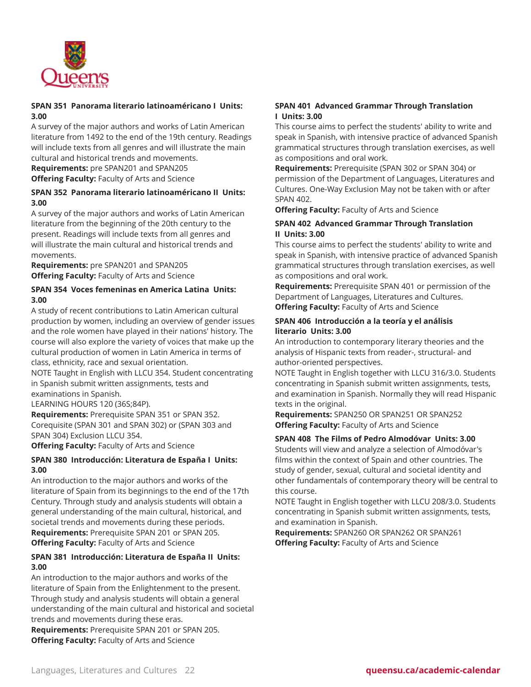

# **SPAN 351 Panorama literario latinoaméricano I Units: 3.00**

A survey of the major authors and works of Latin American literature from 1492 to the end of the 19th century. Readings will include texts from all genres and will illustrate the main cultural and historical trends and movements.

**Requirements:** pre SPAN201 and SPAN205

**Offering Faculty:** Faculty of Arts and Science

#### **SPAN 352 Panorama literario latinoaméricano II Units: 3.00**

A survey of the major authors and works of Latin American literature from the beginning of the 20th century to the present. Readings will include texts from all genres and will illustrate the main cultural and historical trends and movements.

**Requirements:** pre SPAN201 and SPAN205 **Offering Faculty:** Faculty of Arts and Science

# **SPAN 354 Voces femeninas en America Latina Units: 3.00**

A study of recent contributions to Latin American cultural production by women, including an overview of gender issues and the role women have played in their nations' history. The course will also explore the variety of voices that make up the cultural production of women in Latin America in terms of class, ethnicity, race and sexual orientation.

NOTE Taught in English with LLCU 354. Student concentrating in Spanish submit written assignments, tests and examinations in Spanish.

LEARNING HOURS 120 (36S;84P).

**Requirements:** Prerequisite SPAN 351 or SPAN 352. Corequisite (SPAN 301 and SPAN 302) or (SPAN 303 and SPAN 304) Exclusion LLCU 354.

**Offering Faculty:** Faculty of Arts and Science

# **SPAN 380 Introducción: Literatura de España I Units: 3.00**

An introduction to the major authors and works of the literature of Spain from its beginnings to the end of the 17th Century. Through study and analysis students will obtain a general understanding of the main cultural, historical, and societal trends and movements during these periods. **Requirements:** Prerequisite SPAN 201 or SPAN 205. **Offering Faculty:** Faculty of Arts and Science

# **SPAN 381 Introducción: Literatura de España II Units: 3.00**

An introduction to the major authors and works of the literature of Spain from the Enlightenment to the present. Through study and analysis students will obtain a general understanding of the main cultural and historical and societal trends and movements during these eras.

**Requirements:** Prerequisite SPAN 201 or SPAN 205. **Offering Faculty:** Faculty of Arts and Science

# **SPAN 401 Advanced Grammar Through Translation I Units: 3.00**

This course aims to perfect the students' ability to write and speak in Spanish, with intensive practice of advanced Spanish grammatical structures through translation exercises, as well as compositions and oral work.

**Requirements:** Prerequisite (SPAN 302 or SPAN 304) or permission of the Department of Languages, Literatures and Cultures. One-Way Exclusion May not be taken with or after SPAN 402.

**Offering Faculty:** Faculty of Arts and Science

# **SPAN 402 Advanced Grammar Through Translation II Units: 3.00**

This course aims to perfect the students' ability to write and speak in Spanish, with intensive practice of advanced Spanish grammatical structures through translation exercises, as well as compositions and oral work.

**Requirements:** Prerequisite SPAN 401 or permission of the Department of Languages, Literatures and Cultures. **Offering Faculty:** Faculty of Arts and Science

# **SPAN 406 Introducción a la teoría y el análisis literario Units: 3.00**

An introduction to contemporary literary theories and the analysis of Hispanic texts from reader-, structural- and author-oriented perspectives.

NOTE Taught in English together with LLCU 316/3.0. Students concentrating in Spanish submit written assignments, tests, and examination in Spanish. Normally they will read Hispanic texts in the original.

**Requirements:** SPAN250 OR SPAN251 OR SPAN252 **Offering Faculty:** Faculty of Arts and Science

#### **SPAN 408 The Films of Pedro Almodóvar Units: 3.00**

Students will view and analyze a selection of Almodóvar's films within the context of Spain and other countries. The study of gender, sexual, cultural and societal identity and other fundamentals of contemporary theory will be central to this course.

NOTE Taught in English together with LLCU 208/3.0. Students concentrating in Spanish submit written assignments, tests, and examination in Spanish.

**Requirements:** SPAN260 OR SPAN262 OR SPAN261 **Offering Faculty:** Faculty of Arts and Science